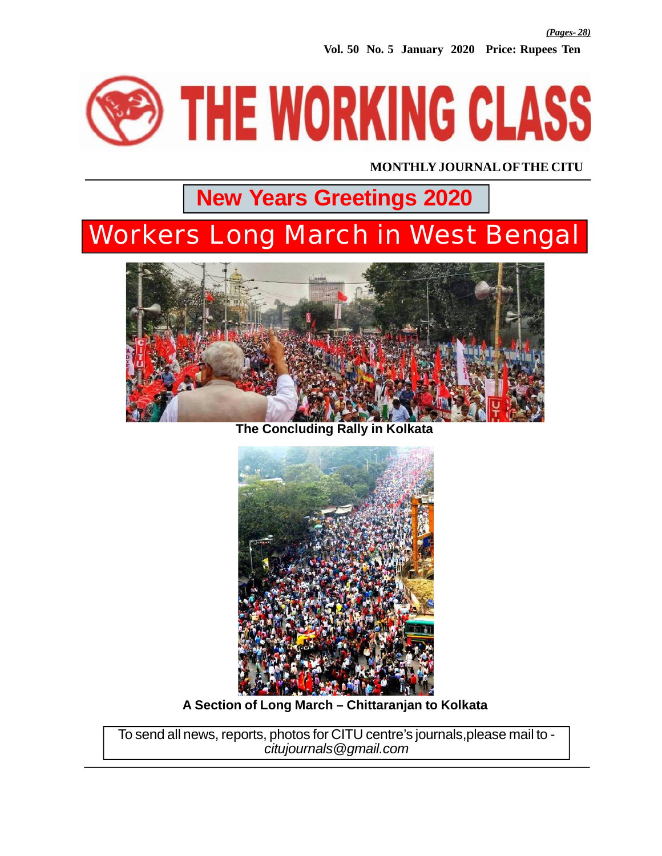**Vol. 50 No. 5 January 2020 Price: Rupees Ten**



**MONTHLY JOURNAL OF THE CITU**

## **New Years Greetings 2020**

## Workers Long March in West Bengal



**The Concluding Rally in Kolkata**



**A Section of Long March – Chittaranjan to Kolkata**

To send all news, reports, photos for CITU centre's journals,please mail to *citujournals@gmail.com*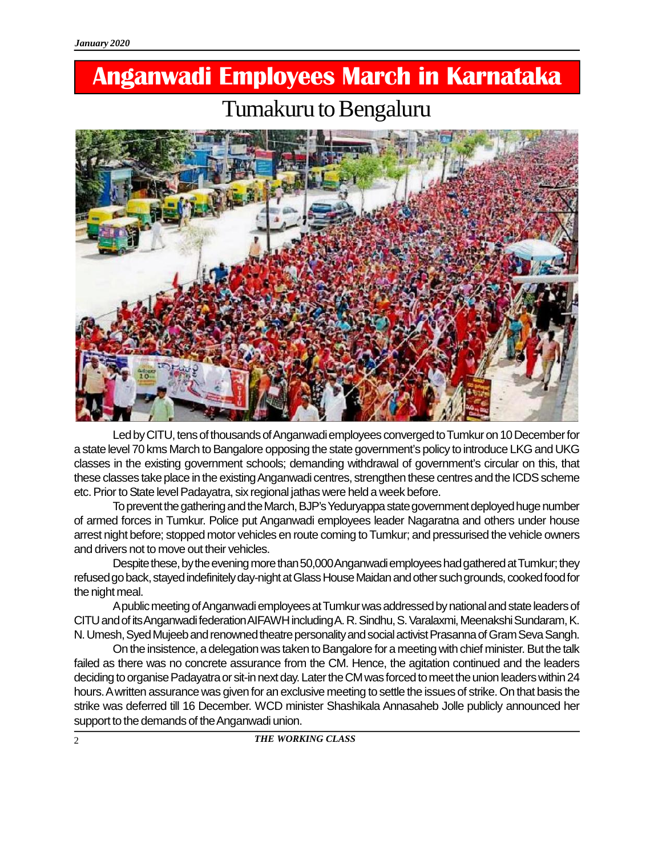## **Anganwadi Employees March in Karnataka** Tumakuru to Bengaluru



Led by CITU, tens of thousands of Anganwadi employees converged to Tumkur on 10 December for a state level 70 kms March to Bangalore opposing the state government's policy to introduce LKG and UKG classes in the existing government schools; demanding withdrawal of government's circular on this, that these classes take place in the existing Anganwadi centres, strengthen these centres and the ICDS scheme etc. Prior to State level Padayatra, six regional jathas were held a week before.

To prevent the gathering and the March, BJP's Yeduryappa state government deployed huge number of armed forces in Tumkur. Police put Anganwadi employees leader Nagaratna and others under house arrest night before; stopped motor vehicles en route coming to Tumkur; and pressurised the vehicle owners and drivers not to move out their vehicles.

Despite these, by the evening more than 50,000 Anganwadi employees had gathered at Tumkur; they refused go back, stayed indefinitely day-night at Glass House Maidan and other such grounds, cooked food for the night meal.

A public meeting of Anganwadi employees at Tumkur was addressed by national and state leaders of CITU and of its Anganwadi federation AIFAWH including A. R. Sindhu, S. Varalaxmi, Meenakshi Sundaram, K. N. Umesh, Syed Mujeeb and renowned theatre personality and social activist Prasanna of Gram Seva Sangh.

On the insistence, a delegation was taken to Bangalore for a meeting with chief minister. But the talk failed as there was no concrete assurance from the CM. Hence, the agitation continued and the leaders deciding to organise Padayatra or sit-in next day. Later the CM was forced to meet the union leaders within 24 hours. A written assurance was given for an exclusive meeting to settle the issues of strike. On that basis the strike was deferred till 16 December. WCD minister Shashikala Annasaheb Jolle publicly announced her support to the demands of the Anganwadi union.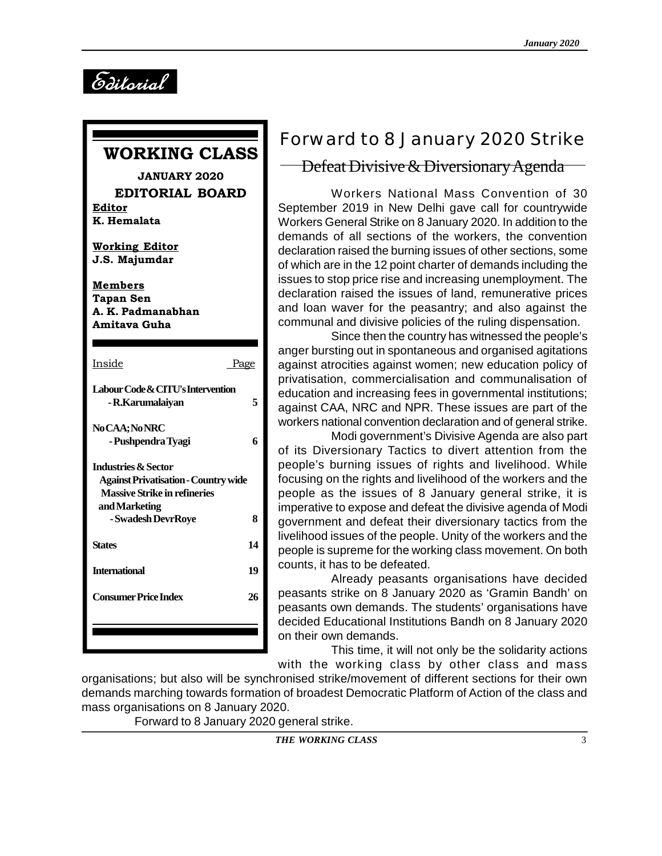*Editorial*

### **WORKING CLASS**

**JANUARY 2020 EDITORIAL BOARD Editor K. Hemalata**

**Working Editor J.S. Majumdar**

**Members Tapan Sen A. K. Padmanabhan Amitava Guha**

| Inside                                      | <u>Page</u> | any<br>aga |
|---------------------------------------------|-------------|------------|
|                                             |             | priv       |
| Labour Code & CITU's Intervention           |             | edu        |
| - R.Karumalaiyan                            | 5           | aga        |
|                                             |             | wor        |
| No CAA; No NRC                              |             |            |
| - Pushpendra Tyagi                          | 6           | of i       |
| <b>Industries &amp; Sector</b>              |             | peo        |
| <b>Against Privatisation - Country wide</b> |             | fοcι       |
| <b>Massive Strike in refineries</b>         |             | peo        |
| and Marketing                               |             | imp        |
| - Swadesh DevrRoye                          | 8           | gov        |
|                                             |             | livel      |
| <b>States</b>                               | 14          | peo        |
| <b>International</b>                        | 19          | cou        |
|                                             |             |            |
| Consumer Price Index                        | 26          | pea        |
|                                             |             | pea        |
|                                             |             | dec        |
|                                             |             | on t       |
|                                             |             |            |

## Forward to 8 January 2020 Strike

#### Defeat Divisive & Diversionary Agenda

Workers National Mass Convention of 30 September 2019 in New Delhi gave call for countrywide Workers General Strike on 8 January 2020. In addition to the demands of all sections of the workers, the convention declaration raised the burning issues of other sections, some of which are in the 12 point charter of demands including the issues to stop price rise and increasing unemployment. The declaration raised the issues of land, remunerative prices and loan waver for the peasantry; and also against the communal and divisive policies of the ruling dispensation.

Since then the country has witnessed the people's anger bursting out in spontaneous and organised agitations against atrocities against women; new education policy of privatisation, commercialisation and communalisation of education and increasing fees in governmental institutions; against CAA, NRC and NPR. These issues are part of the workers national convention declaration and of general strike.

Modi government's Divisive Agenda are also part of its Diversionary Tactics to divert attention from the people's burning issues of rights and livelihood. While focusing on the rights and livelihood of the workers and the people as the issues of 8 January general strike, it is imperative to expose and defeat the divisive agenda of Modi government and defeat their diversionary tactics from the livelihood issues of the people. Unity of the workers and the people is supreme for the working class movement. On both counts, it has to be defeated.

Already peasants organisations have decided peasants strike on 8 January 2020 as 'Gramin Bandh' on peasants own demands. The students' organisations have decided Educational Institutions Bandh on 8 January 2020 on their own demands.

This time, it will not only be the solidarity actions with the working class by other class and mass

organisations; but also will be synchronised strike/movement of different sections for their own demands marching towards formation of broadest Democratic Platform of Action of the class and mass organisations on 8 January 2020.

Forward to 8 January 2020 general strike.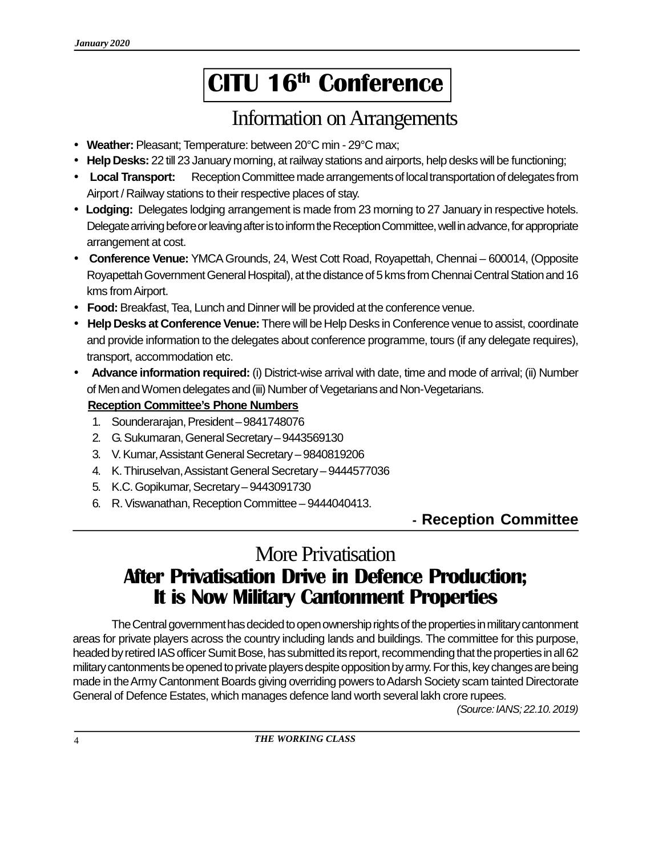# **CITU 16th Conference**

### Information on Arrangements

- **Weather:** Pleasant; Temperature: between 20°C min 29°C max;
- **Help Desks:** 22 till 23 January morning, at railway stations and airports, help desks will be functioning;
- **Local Transport:** Reception Committee made arrangements of local transportation of delegates from Airport / Railway stations to their respective places of stay.
- **Lodging:** Delegates lodging arrangement is made from 23 morning to 27 January in respective hotels. Delegate arriving before or leaving after is to inform the Reception Committee, well in advance, for appropriate arrangement at cost.
- **Conference Venue:** YMCA Grounds, 24, West Cott Road, Royapettah, Chennai 600014, (Opposite Royapettah Government General Hospital), at the distance of 5 kms from Chennai Central Station and 16 kms from Airport.
- **Food:** Breakfast, Tea, Lunch and Dinner will be provided at the conference venue.
- **Help Desks at Conference Venue:** There will be Help Desks in Conference venue to assist, coordinate and provide information to the delegates about conference programme, tours (if any delegate requires), transport, accommodation etc.
- **Advance information required:** (i) District-wise arrival with date, time and mode of arrival; (ii) Number of Men and Women delegates and (iii) Number of Vegetarians and Non-Vegetarians.

#### **Reception Committee's Phone Numbers**

- 1. Sounderarajan, President 9841748076
- 2. G. Sukumaran, General Secretary 9443569130
- 3. V. Kumar, Assistant General Secretary 9840819206
- 4. K. Thiruselvan, Assistant General Secretary 9444577036
- 5. K.C. Gopikumar, Secretary 9443091730
- 6. R. Viswanathan, Reception Committee 9444040413.

### **- Reception Committee**

## More Privatisation **After Privatisation Drive in Defence Production; It is Now Military Cantonment Properties**

The Central government has decided to open ownership rights of the properties in military cantonment areas for private players across the country including lands and buildings. The committee for this purpose, headed by retired IAS officer Sumit Bose, has submitted its report, recommending that the properties in all 62 military cantonments be opened to private players despite opposition by army. For this, key changes are being made in the Army Cantonment Boards giving overriding powers to Adarsh Society scam tainted Directorate General of Defence Estates, which manages defence land worth several lakh crore rupees.

*(Source: IANS; 22.10. 2019)*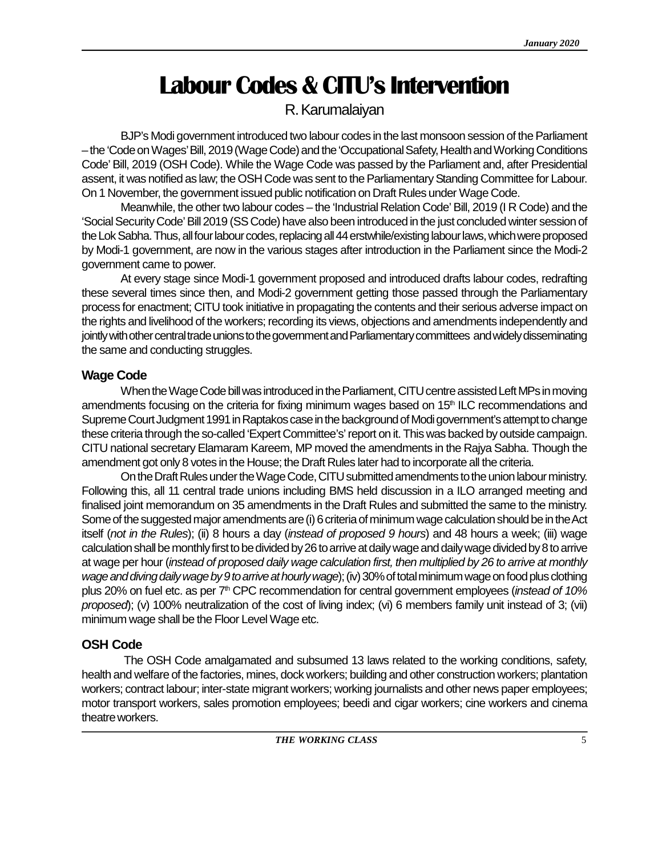## **Labour Codes & CITU's Intervention**

### R. Karumalaiyan

BJP's Modi government introduced two labour codes in the last monsoon session of the Parliament – the 'Code on Wages' Bill, 2019 (Wage Code) and the 'Occupational Safety, Health and Working Conditions Code' Bill, 2019 (OSH Code). While the Wage Code was passed by the Parliament and, after Presidential assent, it was notified as law; the OSH Code was sent to the Parliamentary Standing Committee for Labour. On 1 November, the government issued public notification on Draft Rules under Wage Code.

Meanwhile, the other two labour codes – the 'Industrial Relation Code' Bill, 2019 (I R Code) and the 'Social Security Code' Bill 2019 (SS Code) have also been introduced in the just concluded winter session of the Lok Sabha. Thus, all four labour codes, replacing all 44 erstwhile/existing labour laws, which were proposed by Modi-1 government, are now in the various stages after introduction in the Parliament since the Modi-2 government came to power.

At every stage since Modi-1 government proposed and introduced drafts labour codes, redrafting these several times since then, and Modi-2 government getting those passed through the Parliamentary process for enactment; CITU took initiative in propagating the contents and their serious adverse impact on the rights and livelihood of the workers; recording its views, objections and amendments independently and jointly with other central trade unions to the government and Parliamentary committees and widely disseminating the same and conducting struggles.

#### **Wage Code**

When the Wage Code bill was introduced in the Parliament, CITU centre assisted Left MPs in moving amendments focusing on the criteria for fixing minimum wages based on  $15<sup>th</sup> ILC$  recommendations and Supreme Court Judgment 1991 in Raptakos case in the background of Modi government's attempt to change these criteria through the so-called 'Expert Committee's' report on it. This was backed by outside campaign. CITU national secretary Elamaram Kareem, MP moved the amendments in the Rajya Sabha. Though the amendment got only 8 votes in the House; the Draft Rules later had to incorporate all the criteria.

On the Draft Rules under the Wage Code, CITU submitted amendments to the union labour ministry. Following this, all 11 central trade unions including BMS held discussion in a ILO arranged meeting and finalised joint memorandum on 35 amendments in the Draft Rules and submitted the same to the ministry. Some of the suggested major amendments are (i) 6 criteria of minimum wage calculation should be in the Act itself (*not in the Rules*); (ii) 8 hours a day (*instead of proposed 9 hours*) and 48 hours a week; (iii) wage calculation shall be monthly first to be divided by 26 to arrive at daily wage and daily wage divided by 8 to arrive at wage per hour (*instead of proposed daily wage calculation first, then multiplied by 26 to arrive at monthly wage and diving daily wage by 9 to arrive at hourly wage*); (iv) 30% of total minimum wage on food plus clothing plus 20% on fuel etc. as per 7th CPC recommendation for central government employees (*instead of 10% proposed*); (v) 100% neutralization of the cost of living index; (vi) 6 members family unit instead of 3; (vii) minimum wage shall be the Floor Level Wage etc.

#### **OSH Code**

 The OSH Code amalgamated and subsumed 13 laws related to the working conditions, safety, health and welfare of the factories, mines, dock workers; building and other construction workers; plantation workers; contract labour; inter-state migrant workers; working journalists and other news paper employees; motor transport workers, sales promotion employees; beedi and cigar workers; cine workers and cinema theatre workers.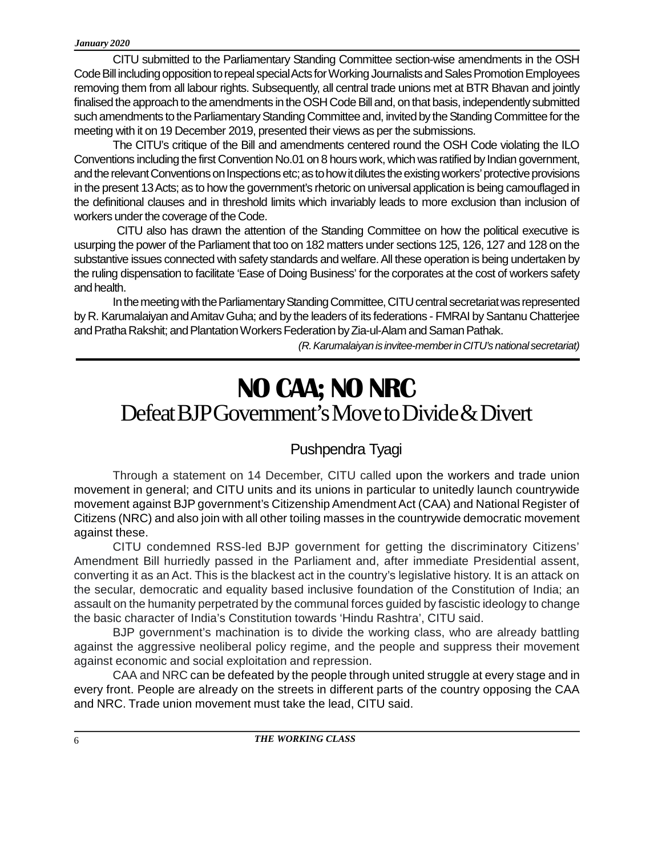CITU submitted to the Parliamentary Standing Committee section-wise amendments in the OSH Code Bill including opposition to repeal special Acts for Working Journalists and Sales Promotion Employees removing them from all labour rights. Subsequently, all central trade unions met at BTR Bhavan and jointly finalised the approach to the amendments in the OSH Code Bill and, on that basis, independently submitted such amendments to the Parliamentary Standing Committee and, invited by the Standing Committee for the meeting with it on 19 December 2019, presented their views as per the submissions.

The CITU's critique of the Bill and amendments centered round the OSH Code violating the ILO Conventions including the first Convention No.01 on 8 hours work, which was ratified by Indian government, and the relevant Conventions on Inspections etc; as to how it dilutes the existing workers' protective provisions in the present 13 Acts; as to how the government's rhetoric on universal application is being camouflaged in the definitional clauses and in threshold limits which invariably leads to more exclusion than inclusion of workers under the coverage of the Code.

 CITU also has drawn the attention of the Standing Committee on how the political executive is usurping the power of the Parliament that too on 182 matters under sections 125, 126, 127 and 128 on the substantive issues connected with safety standards and welfare. All these operation is being undertaken by the ruling dispensation to facilitate 'Ease of Doing Business' for the corporates at the cost of workers safety and health.

In the meeting with the Parliamentary Standing Committee, CITU central secretariat was represented by R. Karumalaiyan and Amitav Guha; and by the leaders of its federations - FMRAI by Santanu Chatterjee and Pratha Rakshit; and Plantation Workers Federation by Zia-ul-Alam and Saman Pathak.

*(R. Karumalaiyan is invitee-member in CITU's national secretariat)*

## Defeat BJP Government's Move to Divide & Divert **NO CAA; NO NRC**

### Pushpendra Tyagi

Through a statement on 14 December, CITU called upon the workers and trade union movement in general; and CITU units and its unions in particular to unitedly launch countrywide movement against BJP government's Citizenship Amendment Act (CAA) and National Register of Citizens (NRC) and also join with all other toiling masses in the countrywide democratic movement against these.

CITU condemned RSS-led BJP government for getting the discriminatory Citizens' Amendment Bill hurriedly passed in the Parliament and, after immediate Presidential assent, converting it as an Act. This is the blackest act in the country's legislative history. It is an attack on the secular, democratic and equality based inclusive foundation of the Constitution of India; an assault on the humanity perpetrated by the communal forces guided by fascistic ideology to change the basic character of India's Constitution towards 'Hindu Rashtra', CITU said.

BJP government's machination is to divide the working class, who are already battling against the aggressive neoliberal policy regime, and the people and suppress their movement against economic and social exploitation and repression.

CAA and NRC can be defeated by the people through united struggle at every stage and in every front. People are already on the streets in different parts of the country opposing the CAA and NRC. Trade union movement must take the lead, CITU said.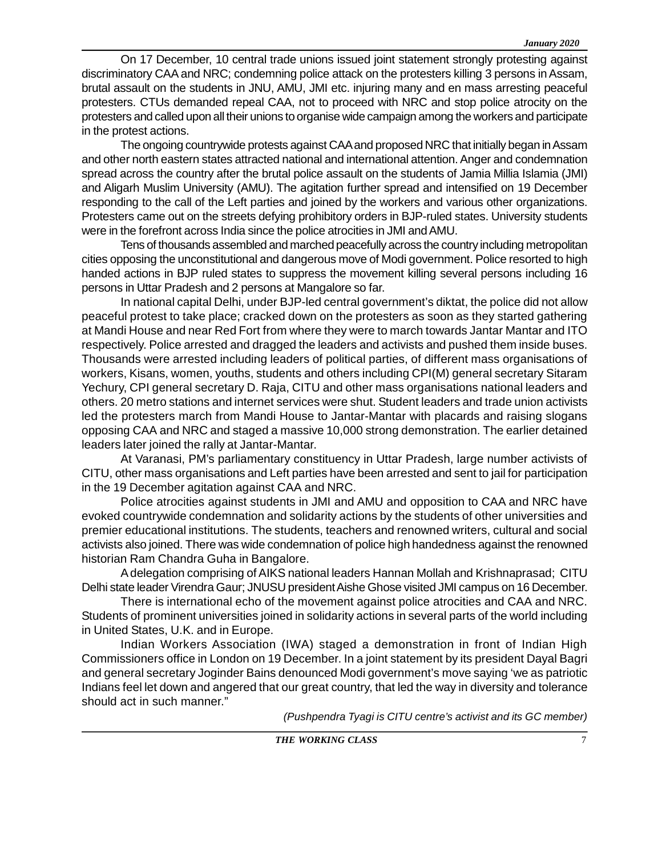On 17 December, 10 central trade unions issued joint statement strongly protesting against discriminatory CAA and NRC; condemning police attack on the protesters killing 3 persons in Assam, brutal assault on the students in JNU, AMU, JMI etc. injuring many and en mass arresting peaceful protesters. CTUs demanded repeal CAA, not to proceed with NRC and stop police atrocity on the protesters and called upon all their unions to organise wide campaign among the workers and participate in the protest actions.

The ongoing countrywide protests against CAA and proposed NRC that initially began in Assam and other north eastern states attracted national and international attention. Anger and condemnation spread across the country after the brutal police assault on the students of Jamia Millia Islamia (JMI) and Aligarh Muslim University (AMU). The agitation further spread and intensified on 19 December responding to the call of the Left parties and joined by the workers and various other organizations. Protesters came out on the streets defying prohibitory orders in BJP-ruled states. University students were in the forefront across India since the police atrocities in JMI and AMU.

Tens of thousands assembled and marched peacefully across the country including metropolitan cities opposing the unconstitutional and dangerous move of Modi government. Police resorted to high handed actions in BJP ruled states to suppress the movement killing several persons including 16 persons in Uttar Pradesh and 2 persons at Mangalore so far.

In national capital Delhi, under BJP-led central government's diktat, the police did not allow peaceful protest to take place; cracked down on the protesters as soon as they started gathering at Mandi House and near Red Fort from where they were to march towards Jantar Mantar and ITO respectively. Police arrested and dragged the leaders and activists and pushed them inside buses. Thousands were arrested including leaders of political parties, of different mass organisations of workers, Kisans, women, youths, students and others including CPI(M) general secretary Sitaram Yechury, CPI general secretary D. Raja, CITU and other mass organisations national leaders and others. 20 metro stations and internet services were shut. Student leaders and trade union activists led the protesters march from Mandi House to Jantar-Mantar with placards and raising slogans opposing CAA and NRC and staged a massive 10,000 strong demonstration. The earlier detained leaders later joined the rally at Jantar-Mantar.

At Varanasi, PM's parliamentary constituency in Uttar Pradesh, large number activists of CITU, other mass organisations and Left parties have been arrested and sent to jail for participation in the 19 December agitation against CAA and NRC.

Police atrocities against students in JMI and AMU and opposition to CAA and NRC have evoked countrywide condemnation and solidarity actions by the students of other universities and premier educational institutions. The students, teachers and renowned writers, cultural and social activists also joined. There was wide condemnation of police high handedness against the renowned historian Ram Chandra Guha in Bangalore.

A delegation comprising of AIKS national leaders Hannan Mollah and Krishnaprasad; CITU Delhi state leader Virendra Gaur; JNUSU president Aishe Ghose visited JMI campus on 16 December.

There is international echo of the movement against police atrocities and CAA and NRC. Students of prominent universities joined in solidarity actions in several parts of the world including in United States, U.K. and in Europe.

Indian Workers Association (IWA) staged a demonstration in front of Indian High Commissioners office in London on 19 December. In a joint statement by its president Dayal Bagri and general secretary Joginder Bains denounced Modi government's move saying 'we as patriotic Indians feel let down and angered that our great country, that led the way in diversity and tolerance should act in such manner."

*(Pushpendra Tyagi is CITU centre's activist and its GC member)*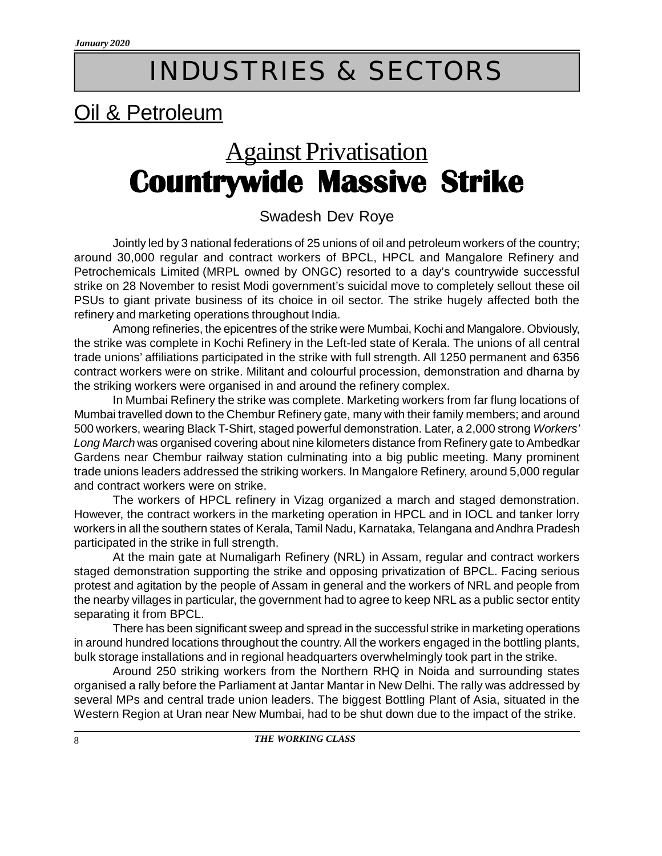# INDUSTRIES & SECTORS

## Oil & Petroleum

# Against Privatisation **Countrywide Massive Strike**

#### Swadesh Dev Roye

Jointly led by 3 national federations of 25 unions of oil and petroleum workers of the country; around 30,000 regular and contract workers of BPCL, HPCL and Mangalore Refinery and Petrochemicals Limited (MRPL owned by ONGC) resorted to a day's countrywide successful strike on 28 November to resist Modi government's suicidal move to completely sellout these oil PSUs to giant private business of its choice in oil sector. The strike hugely affected both the refinery and marketing operations throughout India.

Among refineries, the epicentres of the strike were Mumbai, Kochi and Mangalore. Obviously, the strike was complete in Kochi Refinery in the Left-led state of Kerala. The unions of all central trade unions' affiliations participated in the strike with full strength. All 1250 permanent and 6356 contract workers were on strike. Militant and colourful procession, demonstration and dharna by the striking workers were organised in and around the refinery complex.

In Mumbai Refinery the strike was complete. Marketing workers from far flung locations of Mumbai travelled down to the Chembur Refinery gate, many with their family members; and around 500 workers, wearing Black T-Shirt, staged powerful demonstration. Later, a 2,000 strong *Workers' Long March* was organised covering about nine kilometers distance from Refinery gate to Ambedkar Gardens near Chembur railway station culminating into a big public meeting. Many prominent trade unions leaders addressed the striking workers. In Mangalore Refinery, around 5,000 regular and contract workers were on strike.

The workers of HPCL refinery in Vizag organized a march and staged demonstration. However, the contract workers in the marketing operation in HPCL and in IOCL and tanker lorry workers in all the southern states of Kerala, Tamil Nadu, Karnataka, Telangana and Andhra Pradesh participated in the strike in full strength.

At the main gate at Numaligarh Refinery (NRL) in Assam, regular and contract workers staged demonstration supporting the strike and opposing privatization of BPCL. Facing serious protest and agitation by the people of Assam in general and the workers of NRL and people from the nearby villages in particular, the government had to agree to keep NRL as a public sector entity separating it from BPCL.

There has been significant sweep and spread in the successful strike in marketing operations in around hundred locations throughout the country. All the workers engaged in the bottling plants, bulk storage installations and in regional headquarters overwhelmingly took part in the strike.

Around 250 striking workers from the Northern RHQ in Noida and surrounding states organised a rally before the Parliament at Jantar Mantar in New Delhi. The rally was addressed by several MPs and central trade union leaders. The biggest Bottling Plant of Asia, situated in the Western Region at Uran near New Mumbai, had to be shut down due to the impact of the strike.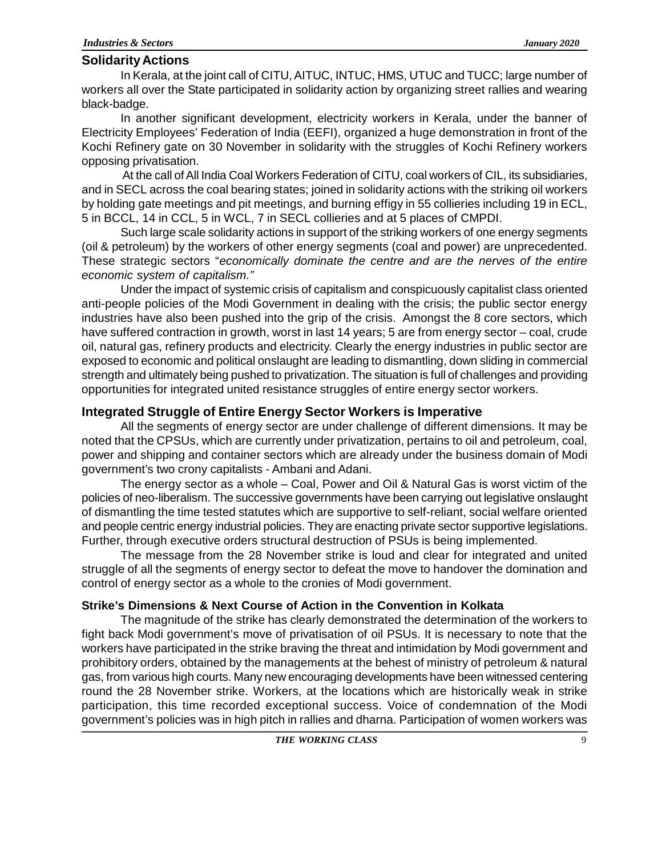#### **Solidarity Actions**

In Kerala, at the joint call of CITU, AITUC, INTUC, HMS, UTUC and TUCC; large number of workers all over the State participated in solidarity action by organizing street rallies and wearing black-badge.

In another significant development, electricity workers in Kerala, under the banner of Electricity Employees' Federation of India (EEFI), organized a huge demonstration in front of the Kochi Refinery gate on 30 November in solidarity with the struggles of Kochi Refinery workers opposing privatisation.

 At the call of All India Coal Workers Federation of CITU, coal workers of CIL, its subsidiaries, and in SECL across the coal bearing states; joined in solidarity actions with the striking oil workers by holding gate meetings and pit meetings, and burning effigy in 55 collieries including 19 in ECL, 5 in BCCL, 14 in CCL, 5 in WCL, 7 in SECL collieries and at 5 places of CMPDI.

Such large scale solidarity actions in support of the striking workers of one energy segments (oil & petroleum) by the workers of other energy segments (coal and power) are unprecedented. These strategic sectors "*economically dominate the centre and are the nerves of the entire economic system of capitalism."*

Under the impact of systemic crisis of capitalism and conspicuously capitalist class oriented anti-people policies of the Modi Government in dealing with the crisis; the public sector energy industries have also been pushed into the grip of the crisis. Amongst the 8 core sectors, which have suffered contraction in growth, worst in last 14 years; 5 are from energy sector – coal, crude oil, natural gas, refinery products and electricity. Clearly the energy industries in public sector are exposed to economic and political onslaught are leading to dismantling, down sliding in commercial strength and ultimately being pushed to privatization. The situation is full of challenges and providing opportunities for integrated united resistance struggles of entire energy sector workers.

#### **Integrated Struggle of Entire Energy Sector Workers is Imperative**

All the segments of energy sector are under challenge of different dimensions. It may be noted that the CPSUs, which are currently under privatization, pertains to oil and petroleum, coal, power and shipping and container sectors which are already under the business domain of Modi government's two crony capitalists - Ambani and Adani.

The energy sector as a whole – Coal, Power and Oil & Natural Gas is worst victim of the policies of neo-liberalism. The successive governments have been carrying out legislative onslaught of dismantling the time tested statutes which are supportive to self-reliant, social welfare oriented and people centric energy industrial policies. They are enacting private sector supportive legislations. Further, through executive orders structural destruction of PSUs is being implemented.

The message from the 28 November strike is loud and clear for integrated and united struggle of all the segments of energy sector to defeat the move to handover the domination and control of energy sector as a whole to the cronies of Modi government.

#### **Strike's Dimensions & Next Course of Action in the Convention in Kolkata**

The magnitude of the strike has clearly demonstrated the determination of the workers to fight back Modi government's move of privatisation of oil PSUs. It is necessary to note that the workers have participated in the strike braving the threat and intimidation by Modi government and prohibitory orders, obtained by the managements at the behest of ministry of petroleum & natural gas, from various high courts. Many new encouraging developments have been witnessed centering round the 28 November strike. Workers, at the locations which are historically weak in strike participation, this time recorded exceptional success. Voice of condemnation of the Modi government's policies was in high pitch in rallies and dharna. Participation of women workers was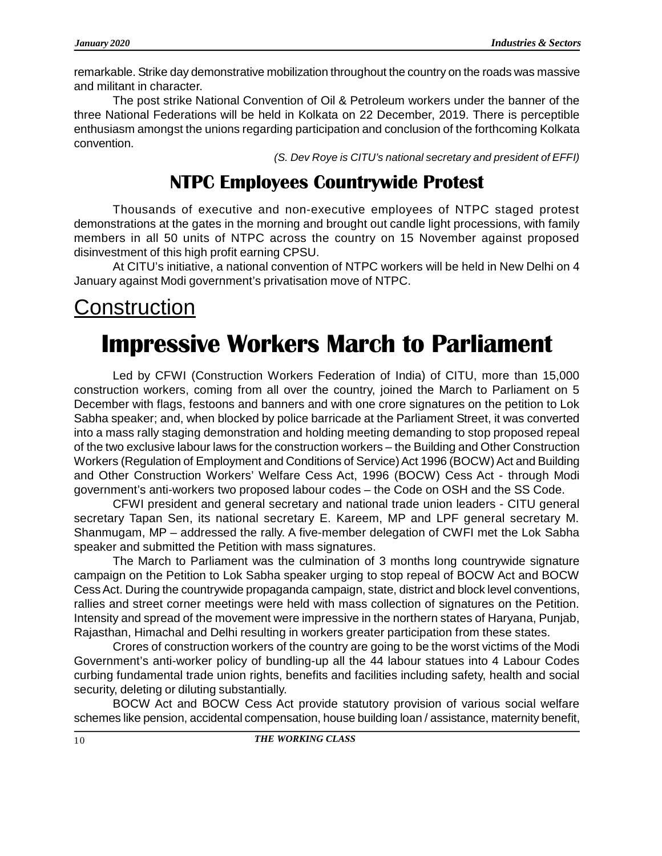remarkable. Strike day demonstrative mobilization throughout the country on the roads was massive and militant in character.

The post strike National Convention of Oil & Petroleum workers under the banner of the three National Federations will be held in Kolkata on 22 December, 2019. There is perceptible enthusiasm amongst the unions regarding participation and conclusion of the forthcoming Kolkata convention.

*(S. Dev Roye is CITU's national secretary and president of EFFI)*

### **NTPC Employees Countrywide Protest**

Thousands of executive and non-executive employees of NTPC staged protest demonstrations at the gates in the morning and brought out candle light processions, with family members in all 50 units of NTPC across the country on 15 November against proposed disinvestment of this high profit earning CPSU.

At CITU's initiative, a national convention of NTPC workers will be held in New Delhi on 4 January against Modi government's privatisation move of NTPC.

## **Construction**

## **Impressive Workers March to Parliament**

Led by CFWI (Construction Workers Federation of India) of CITU, more than 15,000 construction workers, coming from all over the country, joined the March to Parliament on 5 December with flags, festoons and banners and with one crore signatures on the petition to Lok Sabha speaker; and, when blocked by police barricade at the Parliament Street, it was converted into a mass rally staging demonstration and holding meeting demanding to stop proposed repeal of the two exclusive labour laws for the construction workers – the Building and Other Construction Workers (Regulation of Employment and Conditions of Service) Act 1996 (BOCW) Act and Building and Other Construction Workers' Welfare Cess Act, 1996 (BOCW) Cess Act - through Modi government's anti-workers two proposed labour codes – the Code on OSH and the SS Code.

CFWI president and general secretary and national trade union leaders - CITU general secretary Tapan Sen, its national secretary E. Kareem, MP and LPF general secretary M. Shanmugam, MP – addressed the rally. A five-member delegation of CWFI met the Lok Sabha speaker and submitted the Petition with mass signatures.

The March to Parliament was the culmination of 3 months long countrywide signature campaign on the Petition to Lok Sabha speaker urging to stop repeal of BOCW Act and BOCW Cess Act. During the countrywide propaganda campaign, state, district and block level conventions, rallies and street corner meetings were held with mass collection of signatures on the Petition. Intensity and spread of the movement were impressive in the northern states of Haryana, Punjab, Rajasthan, Himachal and Delhi resulting in workers greater participation from these states.

Crores of construction workers of the country are going to be the worst victims of the Modi Government's anti-worker policy of bundling-up all the 44 labour statues into 4 Labour Codes curbing fundamental trade union rights, benefits and facilities including safety, health and social security, deleting or diluting substantially.

BOCW Act and BOCW Cess Act provide statutory provision of various social welfare schemes like pension, accidental compensation, house building loan / assistance, maternity benefit,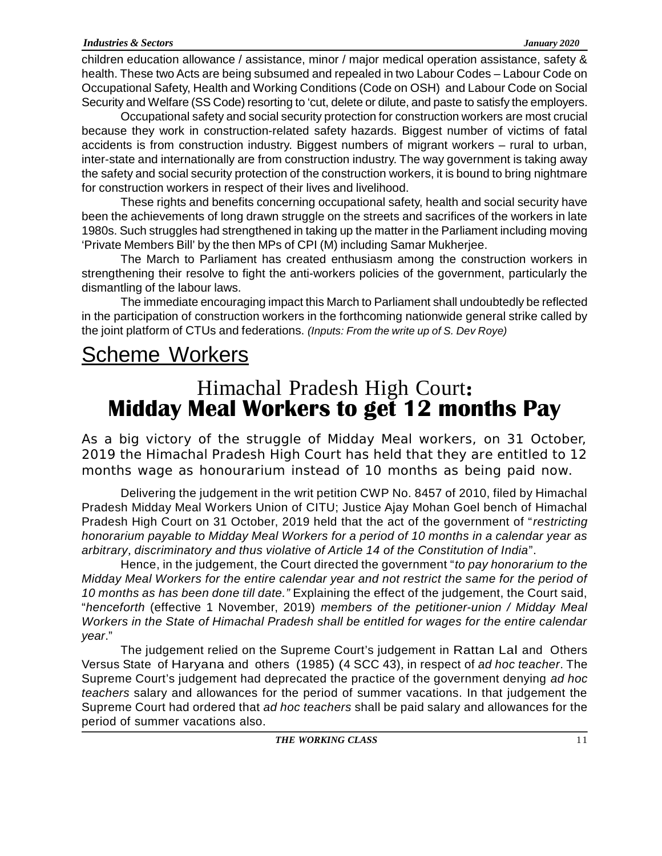children education allowance / assistance, minor / major medical operation assistance, safety & health. These two Acts are being subsumed and repealed in two Labour Codes – Labour Code on Occupational Safety, Health and Working Conditions (Code on OSH) and Labour Code on Social Security and Welfare (SS Code) resorting to 'cut, delete or dilute, and paste to satisfy the employers.

Occupational safety and social security protection for construction workers are most crucial because they work in construction-related safety hazards. Biggest number of victims of fatal accidents is from construction industry. Biggest numbers of migrant workers – rural to urban, inter-state and internationally are from construction industry. The way government is taking away the safety and social security protection of the construction workers, it is bound to bring nightmare for construction workers in respect of their lives and livelihood.

These rights and benefits concerning occupational safety, health and social security have been the achievements of long drawn struggle on the streets and sacrifices of the workers in late 1980s. Such struggles had strengthened in taking up the matter in the Parliament including moving 'Private Members Bill' by the then MPs of CPI (M) including Samar Mukherjee.

The March to Parliament has created enthusiasm among the construction workers in strengthening their resolve to fight the anti-workers policies of the government, particularly the dismantling of the labour laws.

The immediate encouraging impact this March to Parliament shall undoubtedly be reflected in the participation of construction workers in the forthcoming nationwide general strike called by the joint platform of CTUs and federations. *(Inputs: From the write up of S. Dev Roye)*

## Scheme Workers

## **Midday Meal Workers to get 12 months Pay** Himachal Pradesh High Court**:**

As a big victory of the struggle of Midday Meal workers, on 31 October, 2019 the Himachal Pradesh High Court has held that they are entitled to 12 months wage as honourarium instead of 10 months as being paid now.

Delivering the judgement in the writ petition CWP No. 8457 of 2010, filed by Himachal Pradesh Midday Meal Workers Union of CITU; Justice Ajay Mohan Goel bench of Himachal Pradesh High Court on 31 October, 2019 held that the act of the government of "*restricting honorarium payable to Midday Meal Workers for a period of 10 months in a calendar year as arbitrary, discriminatory and thus violative of Article 14 of the Constitution of India*".

Hence, in the judgement, the Court directed the government "*to pay honorarium to the Midday Meal Workers for the entire calendar year and not restrict the same for the period of 10 months as has been done till date."* Explaining the effect of the judgement, the Court said, "*henceforth* (effective 1 November, 2019) *members of the petitioner-union / Midday Meal Workers in the State of Himachal Pradesh shall be entitled for wages for the entire calendar year*."

The judgement relied on the Supreme Court's judgement in Rattan Lal and Others Versus State of Haryana and others (1985) (4 SCC 43), in respect of *ad hoc teacher*. The Supreme Court's judgement had deprecated the practice of the government denying *ad hoc teachers* salary and allowances for the period of summer vacations. In that judgement the Supreme Court had ordered that *ad hoc teachers* shall be paid salary and allowances for the period of summer vacations also.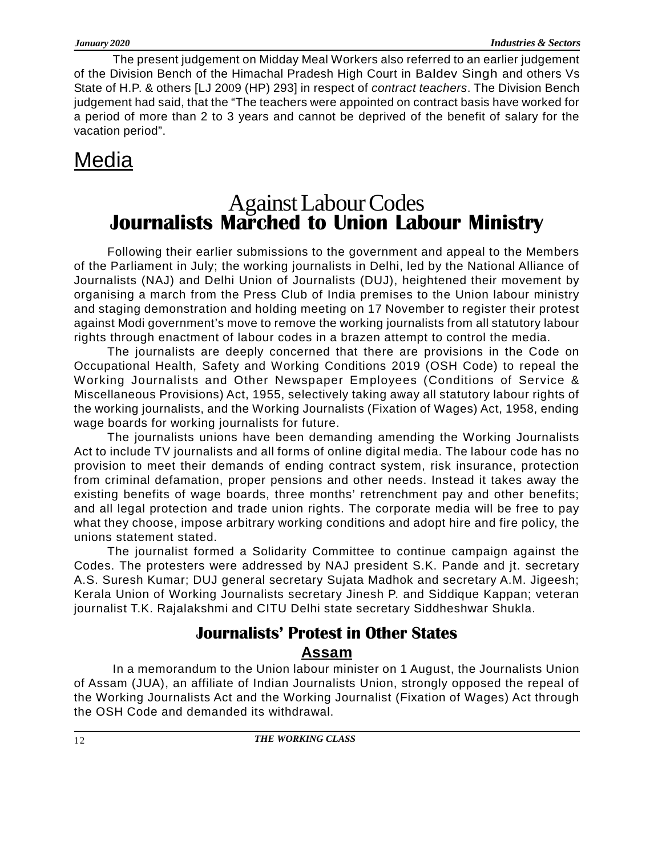The present judgement on Midday Meal Workers also referred to an earlier judgement of the Division Bench of the Himachal Pradesh High Court in Baldev Singh and others Vs State of H.P. & others [LJ 2009 (HP) 293] in respect of *contract teachers*. The Division Bench judgement had said, that the "The teachers were appointed on contract basis have worked for a period of more than 2 to 3 years and cannot be deprived of the benefit of salary for the vacation period".

## Media

### **Journalists Marched to Union Labour Ministry** Against Labour Codes

Following their earlier submissions to the government and appeal to the Members of the Parliament in July; the working journalists in Delhi, led by the National Alliance of Journalists (NAJ) and Delhi Union of Journalists (DUJ), heightened their movement by organising a march from the Press Club of India premises to the Union labour ministry and staging demonstration and holding meeting on 17 November to register their protest against Modi government's move to remove the working journalists from all statutory labour rights through enactment of labour codes in a brazen attempt to control the media.

The journalists are deeply concerned that there are provisions in the Code on Occupational Health, Safety and Working Conditions 2019 (OSH Code) to repeal the Working Journalists and Other Newspaper Employees (Conditions of Service & Miscellaneous Provisions) Act, 1955, selectively taking away all statutory labour rights of the working journalists, and the Working Journalists (Fixation of Wages) Act, 1958, ending wage boards for working journalists for future.

The journalists unions have been demanding amending the Working Journalists Act to include TV journalists and all forms of online digital media. The labour code has no provision to meet their demands of ending contract system, risk insurance, protection from criminal defamation, proper pensions and other needs. Instead it takes away the existing benefits of wage boards, three months' retrenchment pay and other benefits; and all legal protection and trade union rights. The corporate media will be free to pay what they choose, impose arbitrary working conditions and adopt hire and fire policy, the unions statement stated.

The journalist formed a Solidarity Committee to continue campaign against the Codes. The protesters were addressed by NAJ president S.K. Pande and jt. secretary A.S. Suresh Kumar; DUJ general secretary Sujata Madhok and secretary A.M. Jigeesh; Kerala Union of Working Journalists secretary Jinesh P. and Siddique Kappan; veteran journalist T.K. Rajalakshmi and CITU Delhi state secretary Siddheshwar Shukla.

### **Journalists' Protest in Other States Assam**

In a memorandum to the Union labour minister on 1 August, the Journalists Union of Assam (JUA), an affiliate of Indian Journalists Union, strongly opposed the repeal of the Working Journalists Act and the Working Journalist (Fixation of Wages) Act through the OSH Code and demanded its withdrawal.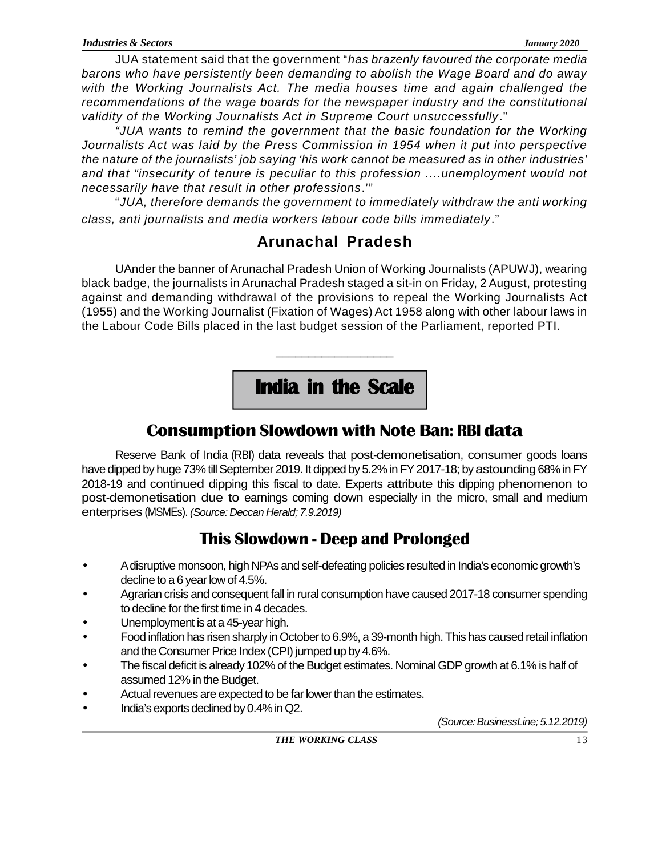JUA statement said that the government "*has brazenly favoured the corporate media barons who have persistently been demanding to abolish the Wage Board and do away with the Working Journalists Act. The media houses time and again challenged the recommendations of the wage boards for the newspaper industry and the constitutional validity of the Working Journalists Act in Supreme Court unsuccessfully*."

*"JUA wants to remind the government that the basic foundation for the Working Journalists Act was laid by the Press Commission in 1954 when it put into perspective the nature of the journalists' job saying 'his work cannot be measured as in other industries' and that "insecurity of tenure is peculiar to this profession ....unemployment would not necessarily have that result in other professions*.'"

"*JUA, therefore demands the government to immediately withdraw the anti working class, anti journalists and media workers labour code bills immediately*."

### **Arunachal Pradesh**

UAnder the banner of Arunachal Pradesh Union of Working Journalists (APUWJ), wearing black badge, the journalists in Arunachal Pradesh staged a sit-in on Friday, 2 August, protesting against and demanding withdrawal of the provisions to repeal the Working Journalists Act (1955) and the Working Journalist (Fixation of Wages) Act 1958 along with other labour laws in the Labour Code Bills placed in the last budget session of the Parliament, reported PTI.

**India in the Scale**

\_\_\_\_\_\_\_\_\_\_\_\_\_\_\_\_\_\_

### **Consumption Slowdown with Note Ban: RBI data**

Reserve Bank of India (RBI) data reveals that post-demonetisation, consumer goods loans have dipped by huge 73% till September 2019. It dipped by 5.2% in FY 2017-18; by astounding 68% in FY 2018-19 and continued dipping this fiscal to date. Experts attribute this dipping phenomenon to post-demonetisation due to earnings coming down especially in the micro, small and medium enterprises (MSMEs). *(Source: Deccan Herald; 7.9.2019)*

### **This Slowdown - Deep and Prolonged**

- A disruptive monsoon, high NPAs and self-defeating policies resulted in India's economic growth's decline to a 6 year low of 4.5%.
- Agrarian crisis and consequent fall in rural consumption have caused 2017-18 consumer spending to decline for the first time in 4 decades.
- Unemployment is at a 45-year high.
- Food inflation has risen sharply in October to 6.9%, a 39-month high. This has caused retail inflation and the Consumer Price Index (CPI) jumped up by 4.6%.
- The fiscal deficit is already 102% of the Budget estimates. Nominal GDP growth at 6.1% is half of assumed 12% in the Budget.
- Actual revenues are expected to be far lower than the estimates.
- India's exports declined by 0.4% in Q2.

 *(Source: BusinessLine; 5.12.2019)*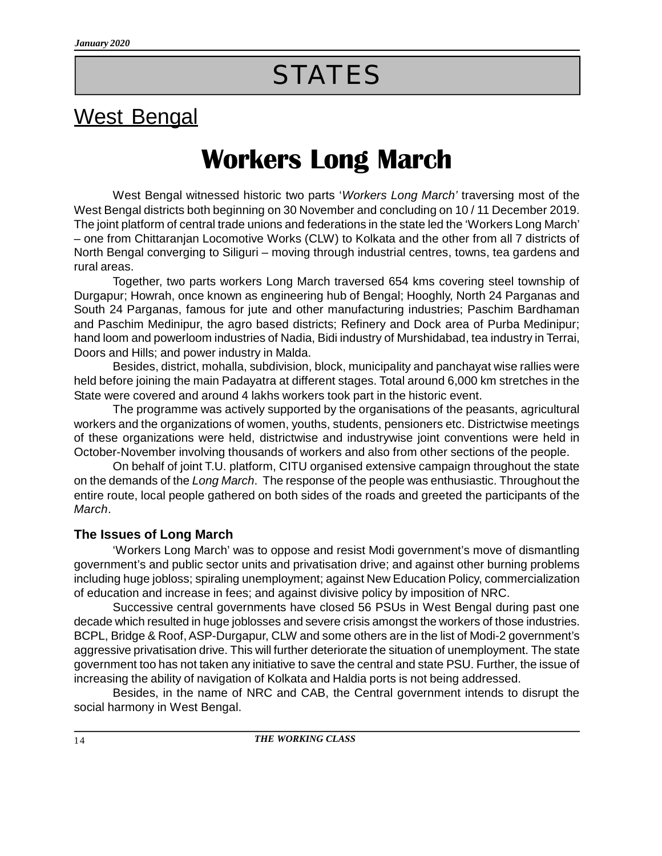# **STATES**

## West Bengal

# **Workers Long March**

West Bengal witnessed historic two parts '*Workers Long March'* traversing most of the West Bengal districts both beginning on 30 November and concluding on 10 / 11 December 2019. The joint platform of central trade unions and federations in the state led the 'Workers Long March' – one from Chittaranjan Locomotive Works (CLW) to Kolkata and the other from all 7 districts of North Bengal converging to Siliguri – moving through industrial centres, towns, tea gardens and rural areas.

Together, two parts workers Long March traversed 654 kms covering steel township of Durgapur; Howrah, once known as engineering hub of Bengal; Hooghly, North 24 Parganas and South 24 Parganas, famous for jute and other manufacturing industries; Paschim Bardhaman and Paschim Medinipur, the agro based districts; Refinery and Dock area of Purba Medinipur; hand loom and powerloom industries of Nadia, Bidi industry of Murshidabad, tea industry in Terrai, Doors and Hills; and power industry in Malda.

Besides, district, mohalla, subdivision, block, municipality and panchayat wise rallies were held before joining the main Padayatra at different stages. Total around 6,000 km stretches in the State were covered and around 4 lakhs workers took part in the historic event.

The programme was actively supported by the organisations of the peasants, agricultural workers and the organizations of women, youths, students, pensioners etc. Districtwise meetings of these organizations were held, districtwise and industrywise joint conventions were held in October-November involving thousands of workers and also from other sections of the people.

On behalf of joint T.U. platform, CITU organised extensive campaign throughout the state on the demands of the *Long March*. The response of the people was enthusiastic. Throughout the entire route, local people gathered on both sides of the roads and greeted the participants of the *March*.

#### **The Issues of Long March**

'Workers Long March' was to oppose and resist Modi government's move of dismantling government's and public sector units and privatisation drive; and against other burning problems including huge jobloss; spiraling unemployment; against New Education Policy, commercialization of education and increase in fees; and against divisive policy by imposition of NRC.

Successive central governments have closed 56 PSUs in West Bengal during past one decade which resulted in huge joblosses and severe crisis amongst the workers of those industries. BCPL, Bridge & Roof, ASP-Durgapur, CLW and some others are in the list of Modi-2 government's aggressive privatisation drive. This will further deteriorate the situation of unemployment. The state government too has not taken any initiative to save the central and state PSU. Further, the issue of increasing the ability of navigation of Kolkata and Haldia ports is not being addressed.

Besides, in the name of NRC and CAB, the Central government intends to disrupt the social harmony in West Bengal.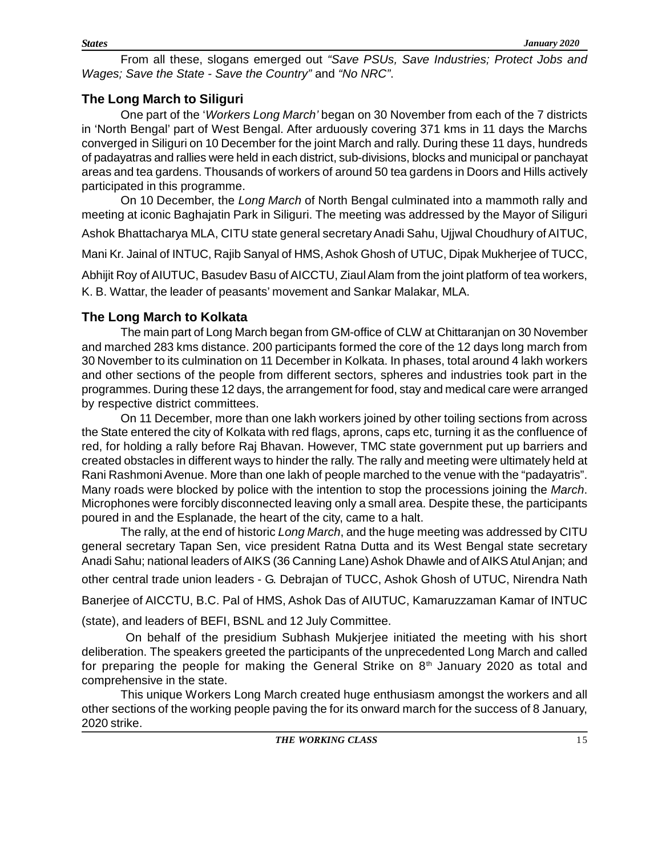From all these, slogans emerged out *"Save PSUs, Save Industries; Protect Jobs and Wages; Save the State - Save the Country"* and *"No NRC"*.

#### **The Long March to Siliguri**

One part of the '*Workers Long March'* began on 30 November from each of the 7 districts in 'North Bengal' part of West Bengal. After arduously covering 371 kms in 11 days the Marchs converged in Siliguri on 10 December for the joint March and rally. During these 11 days, hundreds of padayatras and rallies were held in each district, sub-divisions, blocks and municipal or panchayat areas and tea gardens. Thousands of workers of around 50 tea gardens in Doors and Hills actively participated in this programme.

On 10 December, the *Long March* of North Bengal culminated into a mammoth rally and meeting at iconic Baghajatin Park in Siliguri. The meeting was addressed by the Mayor of Siliguri Ashok Bhattacharya MLA, CITU state general secretary Anadi Sahu, Ujjwal Choudhury of AITUC,

Mani Kr. Jainal of INTUC, Rajib Sanyal of HMS, Ashok Ghosh of UTUC, Dipak Mukherjee of TUCC,

Abhijit Roy of AIUTUC, Basudev Basu of AICCTU, Ziaul Alam from the joint platform of tea workers, K. B. Wattar, the leader of peasants' movement and Sankar Malakar, MLA.

#### **The Long March to Kolkata**

The main part of Long March began from GM-office of CLW at Chittaranjan on 30 November and marched 283 kms distance. 200 participants formed the core of the 12 days long march from 30 November to its culmination on 11 December in Kolkata. In phases, total around 4 lakh workers and other sections of the people from different sectors, spheres and industries took part in the programmes. During these 12 days, the arrangement for food, stay and medical care were arranged by respective district committees.

On 11 December, more than one lakh workers joined by other toiling sections from across the State entered the city of Kolkata with red flags, aprons, caps etc, turning it as the confluence of red, for holding a rally before Raj Bhavan. However, TMC state government put up barriers and created obstacles in different ways to hinder the rally. The rally and meeting were ultimately held at Rani Rashmoni Avenue. More than one lakh of people marched to the venue with the "padayatris". Many roads were blocked by police with the intention to stop the processions joining the *March*. Microphones were forcibly disconnected leaving only a small area. Despite these, the participants poured in and the Esplanade, the heart of the city, came to a halt.

The rally, at the end of historic *Long March*, and the huge meeting was addressed by CITU general secretary Tapan Sen, vice president Ratna Dutta and its West Bengal state secretary Anadi Sahu; national leaders of AIKS (36 Canning Lane) Ashok Dhawle and of AIKS Atul Anjan; and other central trade union leaders - G. Debrajan of TUCC, Ashok Ghosh of UTUC, Nirendra Nath

Banerjee of AICCTU, B.C. Pal of HMS, Ashok Das of AIUTUC, Kamaruzzaman Kamar of INTUC

(state), and leaders of BEFI, BSNL and 12 July Committee.

 On behalf of the presidium Subhash Mukjerjee initiated the meeting with his short deliberation. The speakers greeted the participants of the unprecedented Long March and called for preparing the people for making the General Strike on  $8<sup>th</sup>$  January 2020 as total and comprehensive in the state.

This unique Workers Long March created huge enthusiasm amongst the workers and all other sections of the working people paving the for its onward march for the success of 8 January, 2020 strike.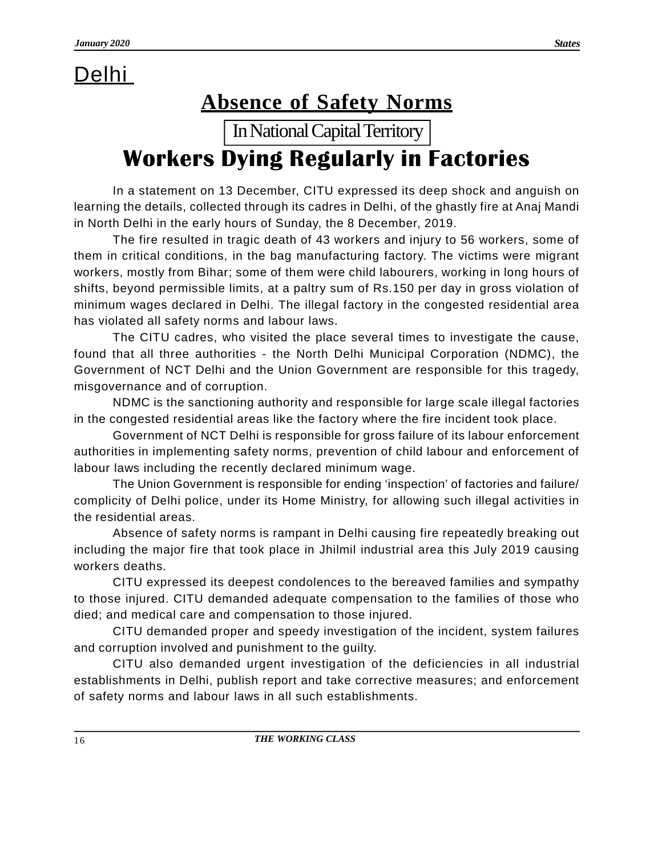## Delhi

## **Absence of Safety Norms**

In National Capital Territory

## **Workers Dying Regularly in Factories**

In a statement on 13 December, CITU expressed its deep shock and anguish on learning the details, collected through its cadres in Delhi, of the ghastly fire at Anaj Mandi in North Delhi in the early hours of Sunday, the 8 December, 2019.

The fire resulted in tragic death of 43 workers and injury to 56 workers, some of them in critical conditions, in the bag manufacturing factory. The victims were migrant workers, mostly from Bihar; some of them were child labourers, working in long hours of shifts, beyond permissible limits, at a paltry sum of Rs.150 per day in gross violation of minimum wages declared in Delhi. The illegal factory in the congested residential area has violated all safety norms and labour laws.

The CITU cadres, who visited the place several times to investigate the cause, found that all three authorities - the North Delhi Municipal Corporation (NDMC), the Government of NCT Delhi and the Union Government are responsible for this tragedy, misgovernance and of corruption.

NDMC is the sanctioning authority and responsible for large scale illegal factories in the congested residential areas like the factory where the fire incident took place.

Government of NCT Delhi is responsible for gross failure of its labour enforcement authorities in implementing safety norms, prevention of child labour and enforcement of labour laws including the recently declared minimum wage.

The Union Government is responsible for ending 'inspection' of factories and failure/ complicity of Delhi police, under its Home Ministry, for allowing such illegal activities in the residential areas.

Absence of safety norms is rampant in Delhi causing fire repeatedly breaking out including the major fire that took place in Jhilmil industrial area this July 2019 causing workers deaths.

CITU expressed its deepest condolences to the bereaved families and sympathy to those injured. CITU demanded adequate compensation to the families of those who died; and medical care and compensation to those injured.

CITU demanded proper and speedy investigation of the incident, system failures and corruption involved and punishment to the guilty.

CITU also demanded urgent investigation of the deficiencies in all industrial establishments in Delhi, publish report and take corrective measures; and enforcement of safety norms and labour laws in all such establishments.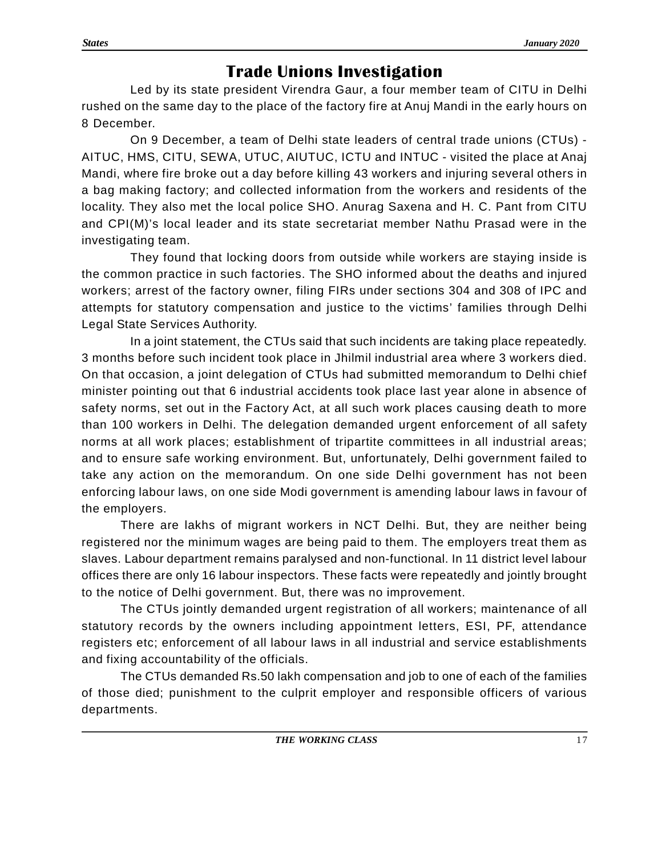### **Trade Unions Investigation**

Led by its state president Virendra Gaur, a four member team of CITU in Delhi rushed on the same day to the place of the factory fire at Anuj Mandi in the early hours on 8 December.

On 9 December, a team of Delhi state leaders of central trade unions (CTUs) - AITUC, HMS, CITU, SEWA, UTUC, AIUTUC, ICTU and INTUC - visited the place at Anaj Mandi, where fire broke out a day before killing 43 workers and injuring several others in a bag making factory; and collected information from the workers and residents of the locality. They also met the local police SHO. Anurag Saxena and H. C. Pant from CITU and CPI(M)'s local leader and its state secretariat member Nathu Prasad were in the investigating team.

They found that locking doors from outside while workers are staying inside is the common practice in such factories. The SHO informed about the deaths and injured workers; arrest of the factory owner, filing FIRs under sections 304 and 308 of IPC and attempts for statutory compensation and justice to the victims' families through Delhi Legal State Services Authority.

In a joint statement, the CTUs said that such incidents are taking place repeatedly. 3 months before such incident took place in Jhilmil industrial area where 3 workers died. On that occasion, a joint delegation of CTUs had submitted memorandum to Delhi chief minister pointing out that 6 industrial accidents took place last year alone in absence of safety norms, set out in the Factory Act, at all such work places causing death to more than 100 workers in Delhi. The delegation demanded urgent enforcement of all safety norms at all work places; establishment of tripartite committees in all industrial areas; and to ensure safe working environment. But, unfortunately, Delhi government failed to take any action on the memorandum. On one side Delhi government has not been enforcing labour laws, on one side Modi government is amending labour laws in favour of the employers.

There are lakhs of migrant workers in NCT Delhi. But, they are neither being registered nor the minimum wages are being paid to them. The employers treat them as slaves. Labour department remains paralysed and non-functional. In 11 district level labour offices there are only 16 labour inspectors. These facts were repeatedly and jointly brought to the notice of Delhi government. But, there was no improvement.

The CTUs jointly demanded urgent registration of all workers; maintenance of all statutory records by the owners including appointment letters, ESI, PF, attendance registers etc; enforcement of all labour laws in all industrial and service establishments and fixing accountability of the officials.

The CTUs demanded Rs.50 lakh compensation and job to one of each of the families of those died; punishment to the culprit employer and responsible officers of various departments.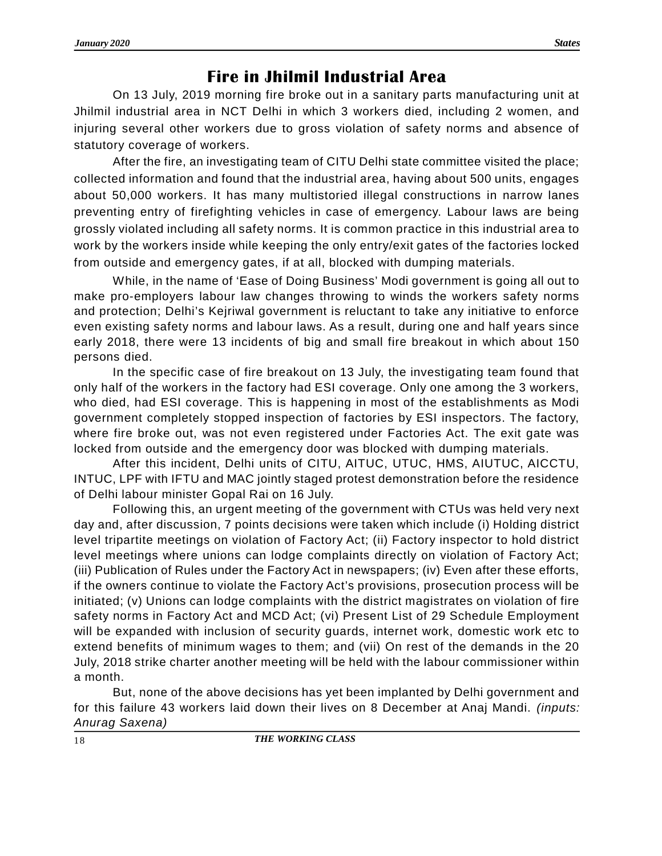### **Fire in Jhilmil Industrial Area**

On 13 July, 2019 morning fire broke out in a sanitary parts manufacturing unit at Jhilmil industrial area in NCT Delhi in which 3 workers died, including 2 women, and injuring several other workers due to gross violation of safety norms and absence of statutory coverage of workers.

After the fire, an investigating team of CITU Delhi state committee visited the place; collected information and found that the industrial area, having about 500 units, engages about 50,000 workers. It has many multistoried illegal constructions in narrow lanes preventing entry of firefighting vehicles in case of emergency. Labour laws are being grossly violated including all safety norms. It is common practice in this industrial area to work by the workers inside while keeping the only entry/exit gates of the factories locked from outside and emergency gates, if at all, blocked with dumping materials.

While, in the name of 'Ease of Doing Business' Modi government is going all out to make pro-employers labour law changes throwing to winds the workers safety norms and protection; Delhi's Kejriwal government is reluctant to take any initiative to enforce even existing safety norms and labour laws. As a result, during one and half years since early 2018, there were 13 incidents of big and small fire breakout in which about 150 persons died.

In the specific case of fire breakout on 13 July, the investigating team found that only half of the workers in the factory had ESI coverage. Only one among the 3 workers, who died, had ESI coverage. This is happening in most of the establishments as Modi government completely stopped inspection of factories by ESI inspectors. The factory, where fire broke out, was not even registered under Factories Act. The exit gate was locked from outside and the emergency door was blocked with dumping materials.

After this incident, Delhi units of CITU, AITUC, UTUC, HMS, AIUTUC, AICCTU, INTUC, LPF with IFTU and MAC jointly staged protest demonstration before the residence of Delhi labour minister Gopal Rai on 16 July.

Following this, an urgent meeting of the government with CTUs was held very next day and, after discussion, 7 points decisions were taken which include (i) Holding district level tripartite meetings on violation of Factory Act; (ii) Factory inspector to hold district level meetings where unions can lodge complaints directly on violation of Factory Act; (iii) Publication of Rules under the Factory Act in newspapers; (iv) Even after these efforts, if the owners continue to violate the Factory Act's provisions, prosecution process will be initiated; (v) Unions can lodge complaints with the district magistrates on violation of fire safety norms in Factory Act and MCD Act; (vi) Present List of 29 Schedule Employment will be expanded with inclusion of security guards, internet work, domestic work etc to extend benefits of minimum wages to them; and (vii) On rest of the demands in the 20 July, 2018 strike charter another meeting will be held with the labour commissioner within a month.

But, none of the above decisions has yet been implanted by Delhi government and for this failure 43 workers laid down their lives on 8 December at Anaj Mandi. *(inputs: Anurag Saxena)*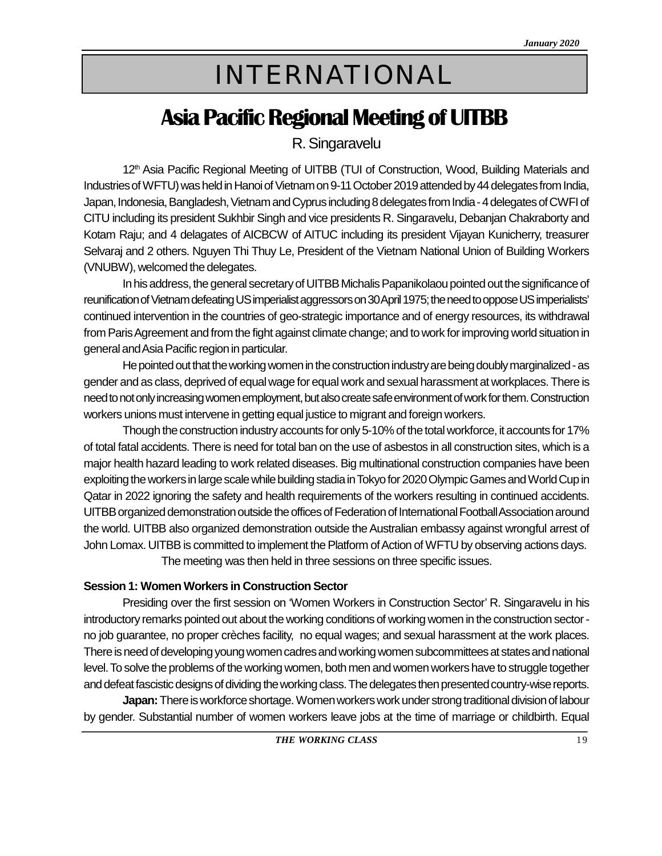# INTERNATIONAL

## **Asia Pacific Regional Meeting of UITBB**

R. Singaravelu

12<sup>th</sup> Asia Pacific Regional Meeting of UITBB (TUI of Construction, Wood, Building Materials and Industries of WFTU) was held in Hanoi of Vietnam on 9-11 October 2019 attended by 44 delegates from India, Japan, Indonesia, Bangladesh, Vietnam and Cyprus including 8 delegates from India - 4 delegates of CWFI of CITU including its president Sukhbir Singh and vice presidents R. Singaravelu, Debanjan Chakraborty and Kotam Raju; and 4 delagates of AICBCW of AITUC including its president Vijayan Kunicherry, treasurer Selvaraj and 2 others. Nguyen Thi Thuy Le, President of the Vietnam National Union of Building Workers (VNUBW), welcomed the delegates.

In his address, the general secretary of UITBB Michalis Papanikolaou pointed out the significance of reunification of Vietnam defeating US imperialist aggressors on 30 April 1975; the need to oppose US imperialists' continued intervention in the countries of geo-strategic importance and of energy resources, its withdrawal from Paris Agreement and from the fight against climate change; and to work for improving world situation in general and Asia Pacific region in particular.

He pointed out that the working women in the construction industry are being doubly marginalized - as gender and as class, deprived of equal wage for equal work and sexual harassment at workplaces. There is need to not only increasing women employment, but also create safe environment of work for them. Construction workers unions must intervene in getting equal justice to migrant and foreign workers.

Though the construction industry accounts for only 5-10% of the total workforce, it accounts for 17% of total fatal accidents. There is need for total ban on the use of asbestos in all construction sites, which is a major health hazard leading to work related diseases. Big multinational construction companies have been exploiting the workers in large scale while building stadia in Tokyo for 2020 Olympic Games and World Cup in Qatar in 2022 ignoring the safety and health requirements of the workers resulting in continued accidents. UITBB organized demonstration outside the offices of Federation of International Football Association around the world. UITBB also organized demonstration outside the Australian embassy against wrongful arrest of John Lomax. UITBB is committed to implement the Platform of Action of WFTU by observing actions days. The meeting was then held in three sessions on three specific issues.

#### **Session 1: Women Workers in Construction Sector**

Presiding over the first session on 'Women Workers in Construction Sector' R. Singaravelu in his introductory remarks pointed out about the working conditions of working women in the construction sector no job guarantee, no proper crèches facility, no equal wages; and sexual harassment at the work places. There is need of developing young women cadres and working women subcommittees at states and national level. To solve the problems of the working women, both men and women workers have to struggle together and defeat fascistic designs of dividing the working class. The delegates then presented country-wise reports.

**Japan:**There is workforce shortage. Women workers work under strong traditional division of labour by gender. Substantial number of women workers leave jobs at the time of marriage or childbirth. Equal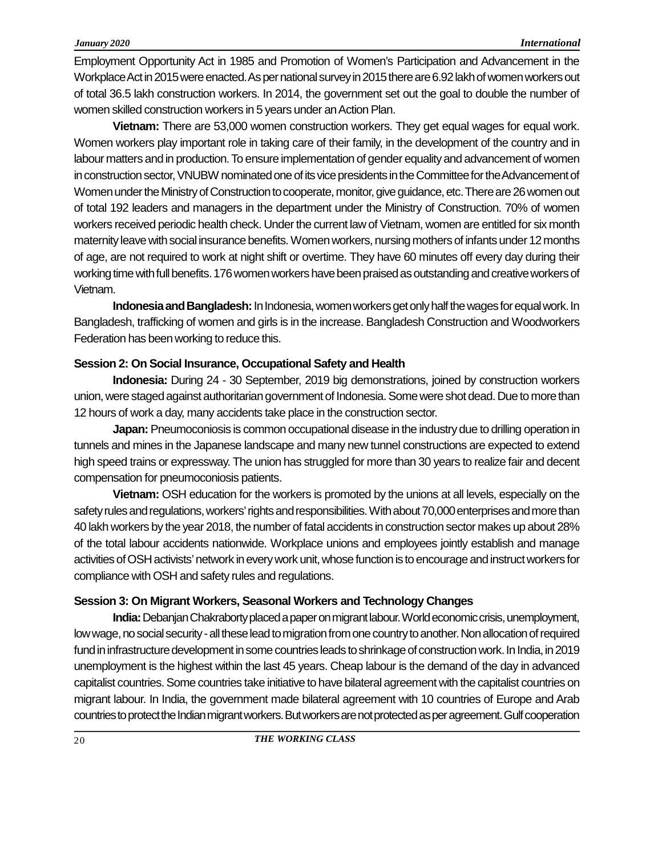Employment Opportunity Act in 1985 and Promotion of Women's Participation and Advancement in the Workplace Act in 2015 were enacted. As per national survey in 2015 there are 6.92 lakh of women workers out of total 36.5 lakh construction workers. In 2014, the government set out the goal to double the number of women skilled construction workers in 5 years under an Action Plan.

**Vietnam:** There are 53,000 women construction workers. They get equal wages for equal work. Women workers play important role in taking care of their family, in the development of the country and in labour matters and in production. To ensure implementation of gender equality and advancement of women in construction sector, VNUBW nominated one of its vice presidents in the Committee for the Advancement of Women under the Ministry of Construction to cooperate, monitor, give guidance, etc. There are 26 women out of total 192 leaders and managers in the department under the Ministry of Construction. 70% of women workers received periodic health check. Under the current law of Vietnam, women are entitled for six month maternity leave with social insurance benefits. Women workers, nursing mothers of infants under 12 months of age, are not required to work at night shift or overtime. They have 60 minutes off every day during their working time with full benefits. 176 women workers have been praised as outstanding and creative workers of Vietnam.

**Indonesia and Bangladesh:**In Indonesia, women workers get only half the wages for equal work. In Bangladesh, trafficking of women and girls is in the increase. Bangladesh Construction and Woodworkers Federation has been working to reduce this.

#### **Session 2: On Social Insurance, Occupational Safety and Health**

**Indonesia:** During 24 - 30 September, 2019 big demonstrations, joined by construction workers union, were staged against authoritarian government of Indonesia. Some were shot dead. Due to more than 12 hours of work a day, many accidents take place in the construction sector.

**Japan:** Pneumoconiosis is common occupational disease in the industry due to drilling operation in tunnels and mines in the Japanese landscape and many new tunnel constructions are expected to extend high speed trains or expressway. The union has struggled for more than 30 years to realize fair and decent compensation for pneumoconiosis patients.

**Vietnam:** OSH education for the workers is promoted by the unions at all levels, especially on the safety rules and regulations, workers' rights and responsibilities. With about 70,000 enterprises and more than 40 lakh workers by the year 2018, the number of fatal accidents in construction sector makes up about 28% of the total labour accidents nationwide. Workplace unions and employees jointly establish and manage activities of OSH activists' network in every work unit, whose function is to encourage and instruct workers for compliance with OSH and safety rules and regulations.

#### **Session 3: On Migrant Workers, Seasonal Workers and Technology Changes**

**India:**Debanjan Chakraborty placed a paper on migrant labour. World economic crisis, unemployment, low wage, no social security - all these lead to migration from one country to another. Non allocation of required fund in infrastructure development in some countries leads to shrinkage of construction work. In India, in 2019 unemployment is the highest within the last 45 years. Cheap labour is the demand of the day in advanced capitalist countries. Some countries take initiative to have bilateral agreement with the capitalist countries on migrant labour. In India, the government made bilateral agreement with 10 countries of Europe and Arab countries to protect the Indian migrant workers. But workers are not protected as per agreement. Gulf cooperation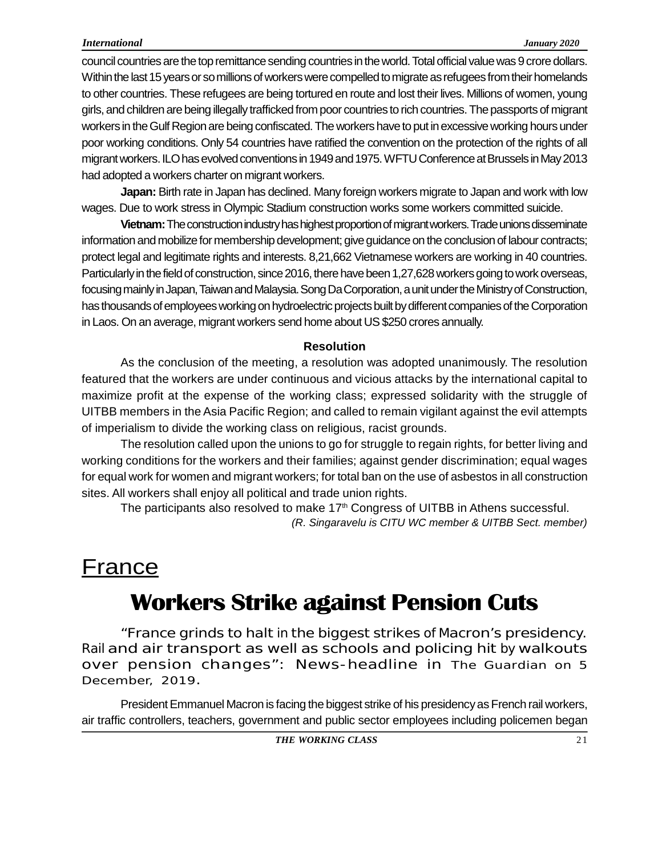#### *International January 2020*

council countries are the top remittance sending countries in the world. Total official value was 9 crore dollars. Within the last 15 years or so millions of workers were compelled to migrate as refugees from their homelands to other countries. These refugees are being tortured en route and lost their lives. Millions of women, young girls, and children are being illegally trafficked from poor countries to rich countries. The passports of migrant workers in the Gulf Region are being confiscated. The workers have to put in excessive working hours under poor working conditions. Only 54 countries have ratified the convention on the protection of the rights of all migrant workers. ILO has evolved conventions in 1949 and 1975. WFTU Conference at Brussels in May 2013 had adopted a workers charter on migrant workers.

**Japan:** Birth rate in Japan has declined. Many foreign workers migrate to Japan and work with low wages. Due to work stress in Olympic Stadium construction works some workers committed suicide.

**Vietnam:**The construction industry has highest proportion of migrant workers. Trade unions disseminate information and mobilize for membership development; give guidance on the conclusion of labour contracts; protect legal and legitimate rights and interests. 8,21,662 Vietnamese workers are working in 40 countries. Particularly in the field of construction, since 2016, there have been 1,27,628 workers going to work overseas, focusing mainly in Japan, Taiwan and Malaysia. Song Da Corporation, a unit under the Ministry of Construction, has thousands of employees working on hydroelectric projects built by different companies of the Corporation in Laos. On an average, migrant workers send home about US \$250 crores annually.

#### **Resolution**

As the conclusion of the meeting, a resolution was adopted unanimously. The resolution featured that the workers are under continuous and vicious attacks by the international capital to maximize profit at the expense of the working class; expressed solidarity with the struggle of UITBB members in the Asia Pacific Region; and called to remain vigilant against the evil attempts of imperialism to divide the working class on religious, racist grounds.

The resolution called upon the unions to go for struggle to regain rights, for better living and working conditions for the workers and their families; against gender discrimination; equal wages for equal work for women and migrant workers; for total ban on the use of asbestos in all construction sites. All workers shall enjoy all political and trade union rights.

The participants also resolved to make 17<sup>th</sup> Congress of UITBB in Athens successful. *(R. Singaravelu is CITU WC member & UITBB Sect. member)*

## **France**

## **Workers Strike against Pension Cuts**

"France grinds to halt in the biggest strikes ofMacron's presidency. Rail and air transport as well as schools and policing hit by walkouts over pension changes": News-headline in *The Guardian* on 5 December, 2019.

President Emmanuel Macron is facing the biggest strike of his presidency as French rail workers, air traffic controllers, teachers, government and public sector employees including policemen began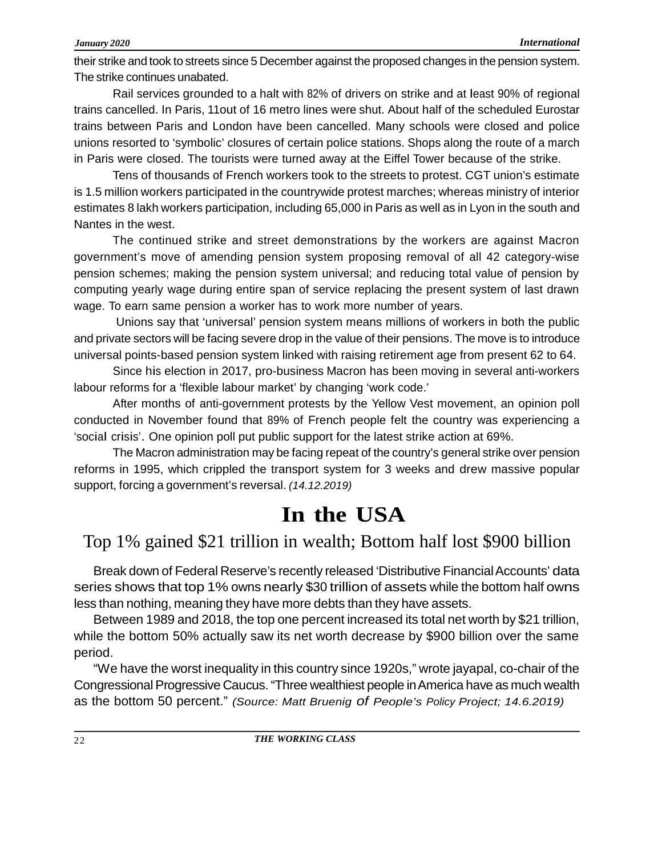their strike and took to streets since 5 December against the proposed changes in the pension system. The strike continues unabated.

Rail services grounded to a halt with 82% of drivers on strike and at least 90% of regional trains cancelled. In Paris, 11out of 16 metro lines were shut. About half of the scheduled Eurostar trains between Paris and London have been cancelled. Many schools were closed and police unions resorted to 'symbolic' closures of certain police stations. Shops along the route of a march in Paris were closed. The tourists were turned away at the Eiffel Tower because of the strike.

Tens of thousands of French workers took to the streets to protest. CGT union's estimate is 1.5 million workers participated in the countrywide protest marches; whereas ministry of interior estimates 8 lakh workers participation, including 65,000 in Paris as well as in Lyon in the south and Nantes in the west.

The continued strike and street demonstrations by the workers are against Macron government's move of amending pension system proposing removal of all 42 category-wise pension schemes; making the pension system universal; and reducing total value of pension by computing yearly wage during entire span of service replacing the present system of last drawn wage. To earn same pension a worker has to work more number of years.

 Unions say that 'universal' pension system means millions of workers in both the public and private sectors will be facing severe drop in the value of their pensions. The move is to introduce universal points-based pension system linked with raising retirement age from present 62 to 64.

Since his election in 2017, pro-business Macron has been moving in several anti-workers labour reforms for a 'flexible labour market' by changing 'work code.'

After months of anti-government protests by the Yellow Vest movement, an opinion poll conducted in November found that 89% of French people felt the country was experiencing a 'social crisis'. One opinion poll put public support for the latest strike action at 69%.

The Macron administration may be facing repeat of the country's general strike over pension reforms in 1995, which crippled the transport system for 3 weeks and drew massive popular support, forcing a government's reversal. *(14.12.2019)*

## **In the USA**

### Top 1% gained \$21 trillion in wealth; Bottom half lost \$900 billion

Break down of Federal Reserve's recently released 'Distributive Financial Accounts' data series shows that top 1% owns nearly \$30 trillion of assets while the bottom half owns less than nothing, meaning they have more debts than they have assets.

Between 1989 and 2018, the top one percent increased its total net worth by \$21 trillion, while the bottom 50% actually saw its net worth decrease by \$900 billion over the same period.

"We have the worst inequality in this country since 1920s," wrote jayapal, co-chair of the Congressional Progressive Caucus. "Three wealthiest people in America have as much wealth as the bottom 50 percent." *(Source: Matt Bruenig of People's Policy Project; 14.6.2019)*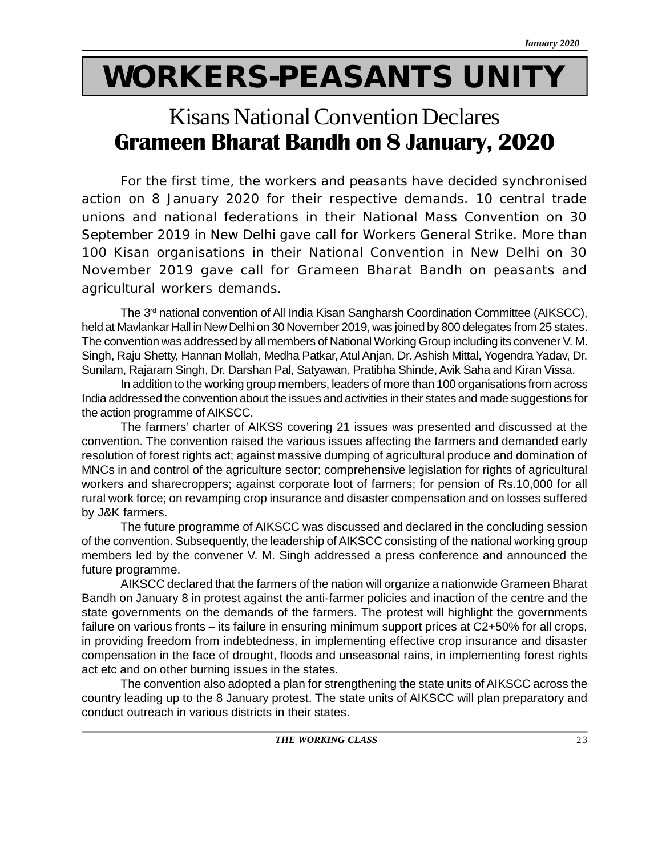# **WORKERS-PEASANTS UNITY**

## **Grameen Bharat Bandh on 8 January, 2020** Kisans National Convention Declares

For the first time, the workers and peasants have decided synchronised action on 8 January 2020 for their respective demands. 10 central trade unions and national federations in their National Mass Convention on 30 September 2019 in New Delhi gave call for Workers General Strike. More than 100 Kisan organisations in their National Convention in New Delhi on 30 November 2019 gave call for Grameen Bharat Bandh on peasants and agricultural workers demands.

The 3<sup>rd</sup> national convention of All India Kisan Sangharsh Coordination Committee (AIKSCC), held at Mavlankar Hall in New Delhi on 30 November 2019, was joined by 800 delegates from 25 states. The convention was addressed by all members of National Working Group including its convener V. M. Singh, Raju Shetty, Hannan Mollah, Medha Patkar, Atul Anjan, Dr. Ashish Mittal, Yogendra Yadav, Dr. Sunilam, Rajaram Singh, Dr. Darshan Pal, Satyawan, Pratibha Shinde, Avik Saha and Kiran Vissa.

In addition to the working group members, leaders of more than 100 organisations from across India addressed the convention about the issues and activities in their states and made suggestions for the action programme of AIKSCC.

The farmers' charter of AIKSS covering 21 issues was presented and discussed at the convention. The convention raised the various issues affecting the farmers and demanded early resolution of forest rights act; against massive dumping of agricultural produce and domination of MNCs in and control of the agriculture sector; comprehensive legislation for rights of agricultural workers and sharecroppers; against corporate loot of farmers; for pension of Rs.10,000 for all rural work force; on revamping crop insurance and disaster compensation and on losses suffered by J&K farmers.

The future programme of AIKSCC was discussed and declared in the concluding session of the convention. Subsequently, the leadership of AIKSCC consisting of the national working group members led by the convener V. M. Singh addressed a press conference and announced the future programme.

AIKSCC declared that the farmers of the nation will organize a nationwide Grameen Bharat Bandh on January 8 in protest against the anti-farmer policies and inaction of the centre and the state governments on the demands of the farmers. The protest will highlight the governments failure on various fronts – its failure in ensuring minimum support prices at C2+50% for all crops, in providing freedom from indebtedness, in implementing effective crop insurance and disaster compensation in the face of drought, floods and unseasonal rains, in implementing forest rights act etc and on other burning issues in the states.

The convention also adopted a plan for strengthening the state units of AIKSCC across the country leading up to the 8 January protest. The state units of AIKSCC will plan preparatory and conduct outreach in various districts in their states.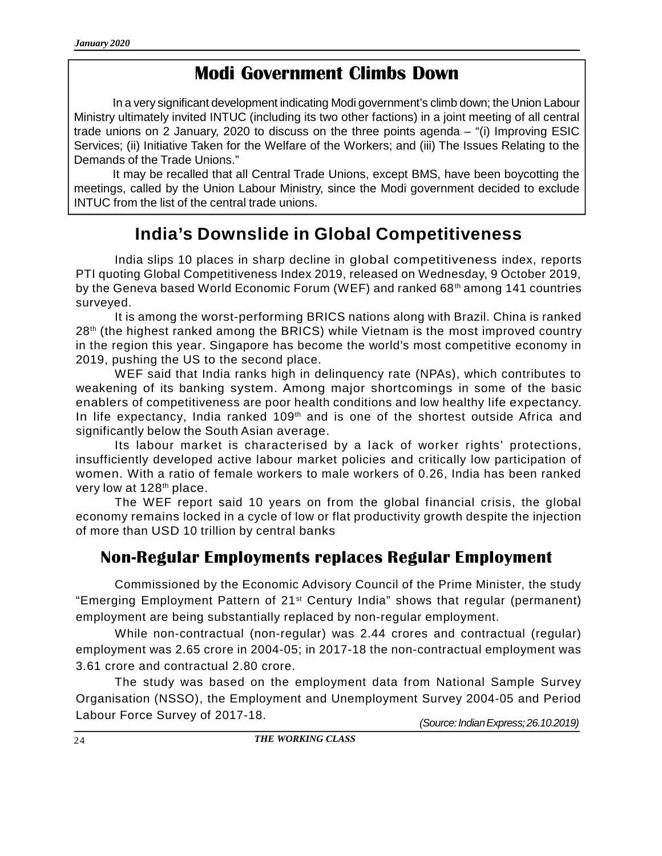### **Modi Government Climbs Down**

In a very significant development indicating Modi government's climb down; the Union Labour Ministry ultimately invited INTUC (including its two other factions) in a joint meeting of all central trade unions on 2 January, 2020 to discuss on the three points agenda – "(i) Improving ESIC Services; (ii) Initiative Taken for the Welfare of the Workers; and (iii) The Issues Relating to the Demands of the Trade Unions."

It may be recalled that all Central Trade Unions, except BMS, have been boycotting the meetings, called by the Union Labour Ministry, since the Modi government decided to exclude INTUC from the list of the central trade unions.

### **India's Downslide in Global Competitiveness**

India slips 10 places in sharp decline in global competitiveness index, reports PTI quoting Global Competitiveness Index 2019, released on Wednesday, 9 October 2019, by the Geneva based World Economic Forum (WEF) and ranked  $68<sup>th</sup>$  among 141 countries surveyed.

It is among the worst-performing BRICS nations along with Brazil. China is ranked 28<sup>th</sup> (the highest ranked among the BRICS) while Vietnam is the most improved country in the region this year. Singapore has become the world's most competitive economy in 2019, pushing the US to the second place.

WEF said that India ranks high in delinquency rate (NPAs), which contributes to weakening of its banking system. Among major shortcomings in some of the basic enablers of competitiveness are poor health conditions and low healthy life expectancy. In life expectancy, India ranked 109<sup>th</sup> and is one of the shortest outside Africa and significantly below the South Asian average.

Its labour market is characterised by a lack of worker rights' protections, insufficiently developed active labour market policies and critically low participation of women. With a ratio of female workers to male workers of 0.26, India has been ranked very low at 128<sup>th</sup> place.

The WEF report said 10 years on from the global financial crisis, the global economy remains locked in a cycle of low or flat productivity growth despite the injection of more than USD 10 trillion by central banks

### **Non-Regular Employments replaces Regular Employment**

Commissioned by the Economic Advisory Council of the Prime Minister, the study "Emerging Employment Pattern of 21st Century India" shows that regular (permanent) employment are being substantially replaced by non-regular employment.

While non-contractual (non-regular) was 2.44 crores and contractual (regular) employment was 2.65 crore in 2004-05; in 2017-18 the non-contractual employment was 3.61 crore and contractual 2.80 crore.

The study was based on the employment data from National Sample Survey Organisation (NSSO), the Employment and Unemployment Survey 2004-05 and Period Labour Force Survey of 2017-18. *(Source: Indian Express; 26.10.2019)*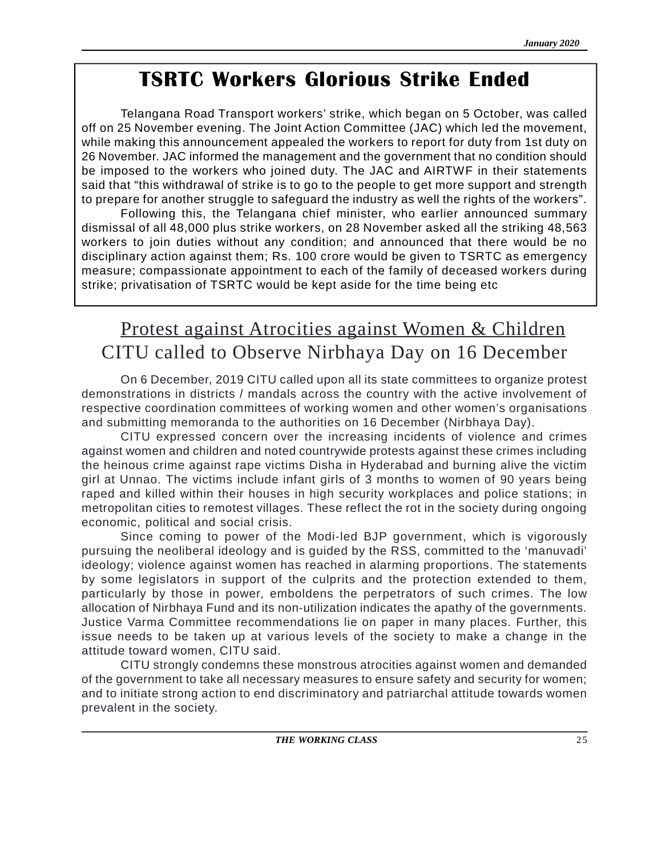## **TSRTC Workers Glorious Strike Ended**

Telangana Road Transport workers' strike, which began on 5 October, was called off on 25 November evening. The Joint Action Committee (JAC) which led the movement, while making this announcement appealed the workers to report for duty from 1st duty on 26 November. JAC informed the management and the government that no condition should be imposed to the workers who joined duty. The JAC and AIRTWF in their statements said that "this withdrawal of strike is to go to the people to get more support and strength to prepare for another struggle to safeguard the industry as well the rights of the workers".

Following this, the Telangana chief minister, who earlier announced summary dismissal of all 48,000 plus strike workers, on 28 November asked all the striking 48,563 workers to join duties without any condition; and announced that there would be no disciplinary action against them; Rs. 100 crore would be given to TSRTC as emergency measure; compassionate appointment to each of the family of deceased workers during strike; privatisation of TSRTC would be kept aside for the time being etc

## Protest against Atrocities against Women & Children CITU called to Observe Nirbhaya Day on 16 December

On 6 December, 2019 CITU called upon all its state committees to organize protest demonstrations in districts / mandals across the country with the active involvement of respective coordination committees of working women and other women's organisations and submitting memoranda to the authorities on 16 December (Nirbhaya Day).

CITU expressed concern over the increasing incidents of violence and crimes against women and children and noted countrywide protests against these crimes including the heinous crime against rape victims Disha in Hyderabad and burning alive the victim girl at Unnao. The victims include infant girls of 3 months to women of 90 years being raped and killed within their houses in high security workplaces and police stations; in metropolitan cities to remotest villages. These reflect the rot in the society during ongoing economic, political and social crisis.

Since coming to power of the Modi-led BJP government, which is vigorously pursuing the neoliberal ideology and is guided by the RSS, committed to the 'manuvadi' ideology; violence against women has reached in alarming proportions. The statements by some legislators in support of the culprits and the protection extended to them, particularly by those in power, emboldens the perpetrators of such crimes. The low allocation of Nirbhaya Fund and its non-utilization indicates the apathy of the governments. Justice Varma Committee recommendations lie on paper in many places. Further, this issue needs to be taken up at various levels of the society to make a change in the attitude toward women, CITU said.

CITU strongly condemns these monstrous atrocities against women and demanded of the government to take all necessary measures to ensure safety and security for women; and to initiate strong action to end discriminatory and patriarchal attitude towards women prevalent in the society.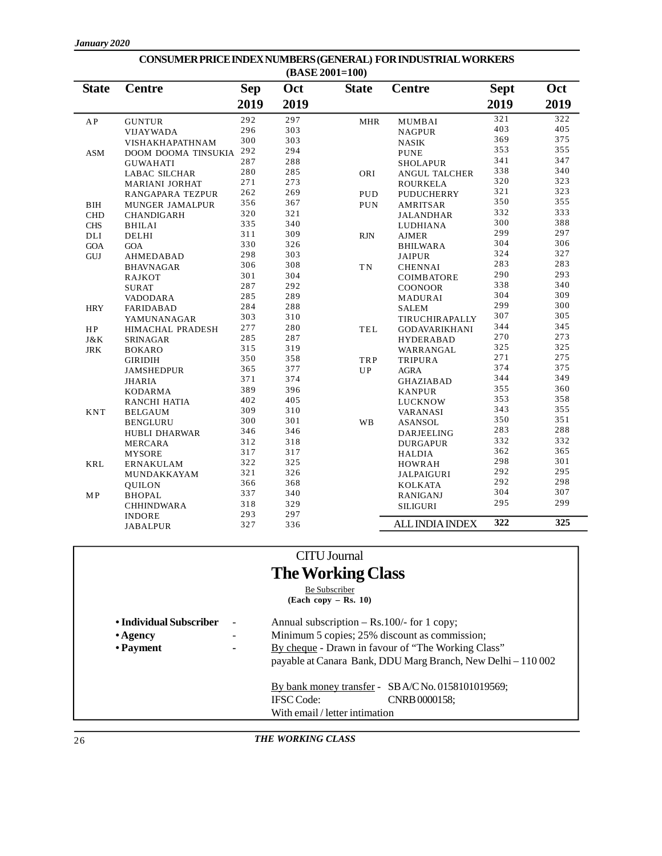|                          |                         |            | (BASE 2001=100) |              |                        |             |      |
|--------------------------|-------------------------|------------|-----------------|--------------|------------------------|-------------|------|
| <b>State</b>             | <b>Centre</b>           | <b>Sep</b> | Oct             | <b>State</b> | <b>Centre</b>          | <b>Sept</b> | Oct  |
|                          |                         | 2019       | 2019            |              |                        | 2019        | 2019 |
| $\mathbf{A}\,\mathbf{P}$ | <b>GUNTUR</b>           | 292        | 297             | <b>MHR</b>   | MUMBAI                 | 321         | 322  |
| <b>VIJAYWADA</b>         |                         | 296        | 303             |              | <b>NAGPUR</b>          | 403         | 405  |
|                          | VISHAKHAPATHNAM         | 300        | 303             |              | <b>NASIK</b>           | 369         | 375  |
| ASM                      | DOOM DOOMA TINSUKIA     | 292        | 294             |              | <b>PUNE</b>            | 353         | 355  |
|                          | <b>GUWAHATI</b>         | 287        | 288             |              | <b>SHOLAPUR</b>        | 341         | 347  |
|                          | <b>LABAC SILCHAR</b>    | 280        | 285             | ORI          | <b>ANGUL TALCHER</b>   | 338         | 340  |
|                          | MARIANI JORHAT          | 271        | 273             |              | <b>ROURKELA</b>        | 320         | 323  |
|                          | <b>RANGAPARA TEZPUR</b> | 262        | 269             | <b>PUD</b>   | <b>PUDUCHERRY</b>      | 321         | 323  |
| <b>BIH</b>               | MUNGER JAMALPUR         | 356        | 367             | PUN          | <b>AMRITSAR</b>        | 350         | 355  |
| <b>CHD</b>               | <b>CHANDIGARH</b>       | 320        | 321             |              | JALANDHAR              | 332         | 333  |
| <b>CHS</b>               | <b>BHILAI</b>           | 335        | 340             |              | LUDHIANA               | 300         | 388  |
| DLI                      | DELHI                   | 311        | 309             | <b>RJN</b>   | AJMER                  | 299         | 297  |
| GOA                      | <b>GOA</b>              | 330        | 326             |              | <b>BHILWARA</b>        | 304         | 306  |
| GUJ                      | AHMEDABAD               | 298        | 303             |              | <b>JAIPUR</b>          | 324         | 327  |
|                          | <b>BHAVNAGAR</b>        | 306        | 308             | <b>TN</b>    | <b>CHENNAI</b>         | 283         | 283  |
|                          | RAJKOT                  | 301        | 304             |              | <b>COIMBATORE</b>      | 290         | 293  |
| <b>SURAT</b>             |                         | 287        | 292             |              | <b>COONOOR</b>         | 338         | 340  |
|                          | <b>VADODARA</b>         | 285        | 289             |              | MADURAI                | 304         | 309  |
| <b>HRY</b>               | <b>FARIDABAD</b>        | 284        | 288             |              | <b>SALEM</b>           | 299         | 300  |
|                          | YAMUNANAGAR             | 303        | 310             |              | TIRUCHIRAPALLY         | 307         | 305  |
| HP                       | <b>HIMACHAL PRADESH</b> | 277        | 280             | TEL          | <b>GODAVARIKHANI</b>   | 344         | 345  |
| J&K                      | SRINAGAR                | 285        | 287             |              | <b>HYDERABAD</b>       | 270         | 273  |
| <b>JRK</b>               | <b>BOKARO</b>           | 315        | 319             |              | WARRANGAL              | 325         | 325  |
|                          | GIRIDIH                 | 350        | 358             | TRP          | <b>TRIPURA</b>         | 271         | 275  |
|                          | <b>JAMSHEDPUR</b>       | 365        | 377             | <b>UP</b>    | <b>AGRA</b>            | 374         | 375  |
|                          | <b>JHARIA</b>           | 371        | 374             |              | <b>GHAZIABAD</b>       | 344         | 349  |
|                          | KODARMA                 | 389        | 396             |              | <b>KANPUR</b>          | 355         | 360  |
|                          | RANCHI HATIA            | 402        | 405             |              | LUCKNOW                | 353         | 358  |
| <b>KNT</b>               | <b>BELGAUM</b>          | 309        | 310             |              | VARANASI               | 343         | 355  |
|                          | <b>BENGLURU</b>         | 300        | 301             | WB           | <b>ASANSOL</b>         | 350         | 351  |
|                          | <b>HUBLI DHARWAR</b>    | 346        | 346             |              | DARJEELING             | 283         | 288  |
|                          | <b>MERCARA</b>          | 312        | 318             |              | <b>DURGAPUR</b>        | 332         | 332  |
|                          | <b>MYSORE</b>           | 317        | 317             |              | <b>HALDIA</b>          | 362         | 365  |
| <b>KRL</b>               | ERNAKULAM               | 322        | 325             |              | <b>HOWRAH</b>          | 298         | 301  |
|                          | MUNDAKKAYAM             | 321        | 326             |              | JALPAIGURI             | 292         | 295  |
|                          | <b>QUILON</b>           | 366        | 368             |              | <b>KOLKATA</b>         | 292         | 298  |
| <b>MP</b>                | <b>BHOPAL</b>           | 337        | 340             |              | <b>RANIGANJ</b>        | 304         | 307  |
|                          | <b>CHHINDWARA</b>       | 318        | 329             |              | <b>SILIGURI</b>        | 295         | 299  |
|                          | <b>INDORE</b>           | 293        | 297             |              |                        |             |      |
|                          | JABALPUR                | 327        | 336             |              | <b>ALL INDIA INDEX</b> | 322         | 325  |

## **CONSUMER PRICE INDEX NUMBERS (GENERAL) FOR INDUSTRIAL WORKERS**

### CITU Journal **The Working Class**

Be Subscriber

**(Each copy – Rs. 10)**

| • Individual Subscriber | $\sim$                   | Annual subscription $-$ Rs.100/- for 1 copy;                 |  |  |
|-------------------------|--------------------------|--------------------------------------------------------------|--|--|
| $\cdot$ Agency          | $\overline{\phantom{a}}$ | Minimum 5 copies; 25% discount as commission;                |  |  |
| • Payment               | $\blacksquare$           | By cheque - Drawn in favour of "The Working Class"           |  |  |
|                         |                          | payable at Canara Bank, DDU Marg Branch, New Delhi - 110 002 |  |  |
|                         |                          | By bank money transfer - SBA/CNo. 0158101019569;             |  |  |
|                         |                          | <b>IFSC</b> Code:<br>CNRB 0000158:                           |  |  |
|                         |                          | With email / letter intimation                               |  |  |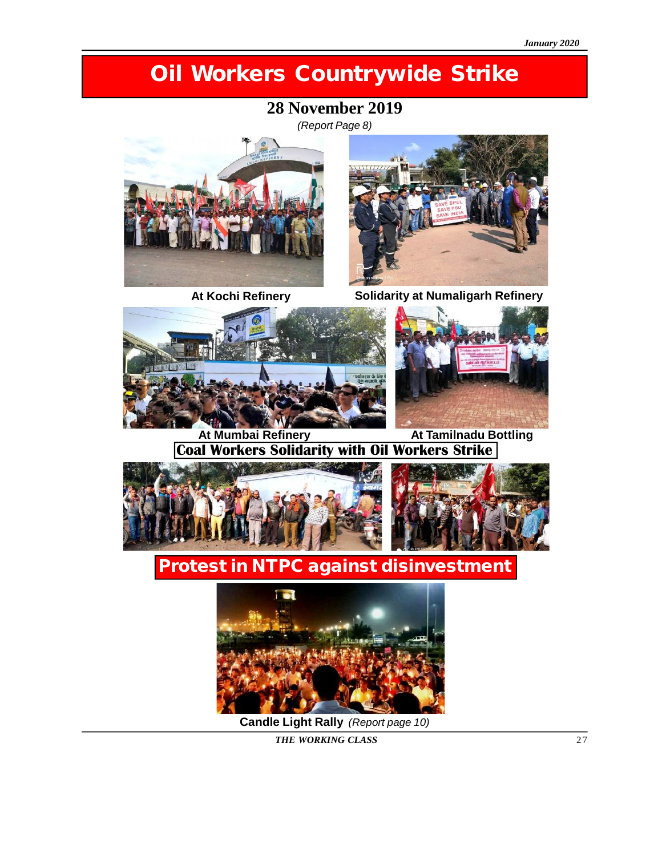## **Oil Workers Countrywide Strike**

### **28 November 2019**

*(Report Page 8)*





**At Kochi Refinery Solidarity at Numaligarh Refinery**





**At Mumbai Refinery At Tamilnadu Bottling Coal Workers Solidarity with Oil Workers Strike**



### **Protest in NTPC against disinvestment**



**Candle Light Rally** *(Report page 10)*

*THE WORKING CLASS* 27